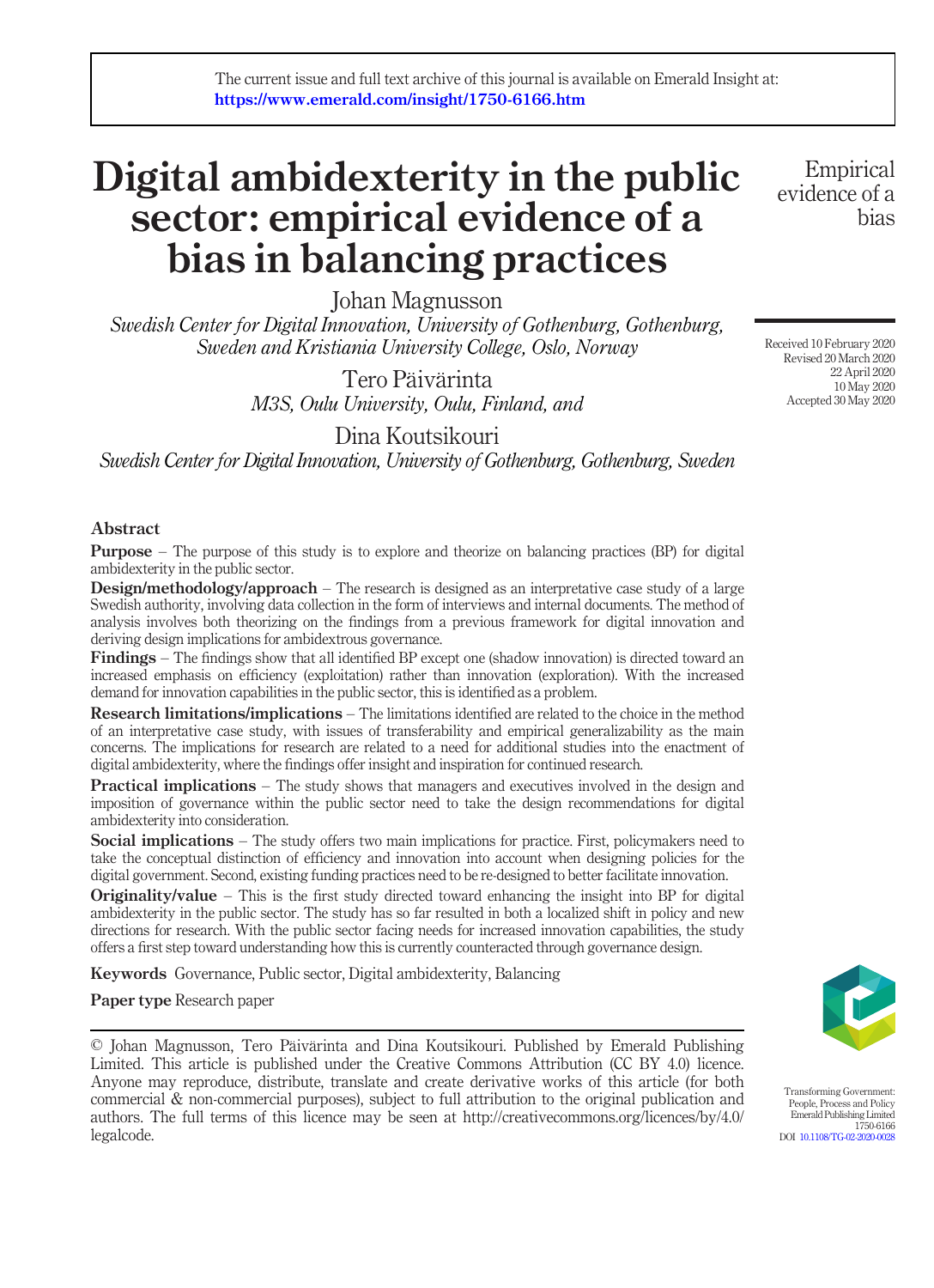# Digital ambidexterity in the public sector: empirical evidence of a bias in balancing practices

Johan Magnusson

Swedish Center for Digital Innovation, University of Gothenburg, Gothenburg, Sweden and Kristiania University College, Oslo, Norway

> Tero Päivärinta M3S, Oulu University, Oulu, Finland, and

> > Dina Koutsikouri

Swedish Center for Digital Innovation, University of Gothenburg, Gothenburg, Sweden

# Abstract

**Purpose** – The purpose of this study is to explore and theorize on balancing practices (BP) for digital ambidexterity in the public sector.

**Design/methodology/approach** – The research is designed as an interpretative case study of a large Swedish authority, involving data collection in the form of interviews and internal documents. The method of analysis involves both theorizing on the findings from a previous framework for digital innovation and deriving design implications for ambidextrous governance.

Findings – The findings show that all identified BP except one (shadow innovation) is directed toward an increased emphasis on efficiency (exploitation) rather than innovation (exploration). With the increased demand for innovation capabilities in the public sector, this is identified as a problem.

Research limitations/implications – The limitations identified are related to the choice in the method of an interpretative case study, with issues of transferability and empirical generalizability as the main concerns. The implications for research are related to a need for additional studies into the enactment of digital ambidexterity, where the findings offer insight and inspiration for continued research.

**Practical implications** – The study shows that managers and executives involved in the design and imposition of governance within the public sector need to take the design recommendations for digital ambidexterity into consideration.

Social implications – The study offers two main implications for practice. First, policymakers need to take the conceptual distinction of efficiency and innovation into account when designing policies for the digital government. Second, existing funding practices need to be re-designed to better facilitate innovation.

**Originality/value** – This is the first study directed toward enhancing the insight into BP for digital ambidexterity in the public sector. The study has so far resulted in both a localized shift in policy and new directions for research. With the public sector facing needs for increased innovation capabilities, the study offers a first step toward understanding how this is currently counteracted through governance design.

Keywords Governance, Public sector, Digital ambidexterity, Balancing

Paper type Research paper

© Johan Magnusson, Tero Päivärinta and Dina Koutsikouri. Published by Emerald Publishing Limited. This article is published under the Creative Commons Attribution (CC BY 4.0) licence. Anyone may reproduce, distribute, translate and create derivative works of this article (for both commercial & non-commercial purposes), subject to full attribution to the original publication and authors. The full terms of this licence may be seen at http://creativecommons.org/licences/by/4.0/ legalcode.

Transforming Government: People, Process and Policy Emerald Publishing Limited 1750-6166 DOI [10.1108/TG-02-2020-0028](http://dx.doi.org/10.1108/TG-02-2020-0028)

Received 10 February 2020 Revised 20 March 2020 22 April 2020 10 May 2020 Accepted 30 May 2020

Empirical evidence of a

bias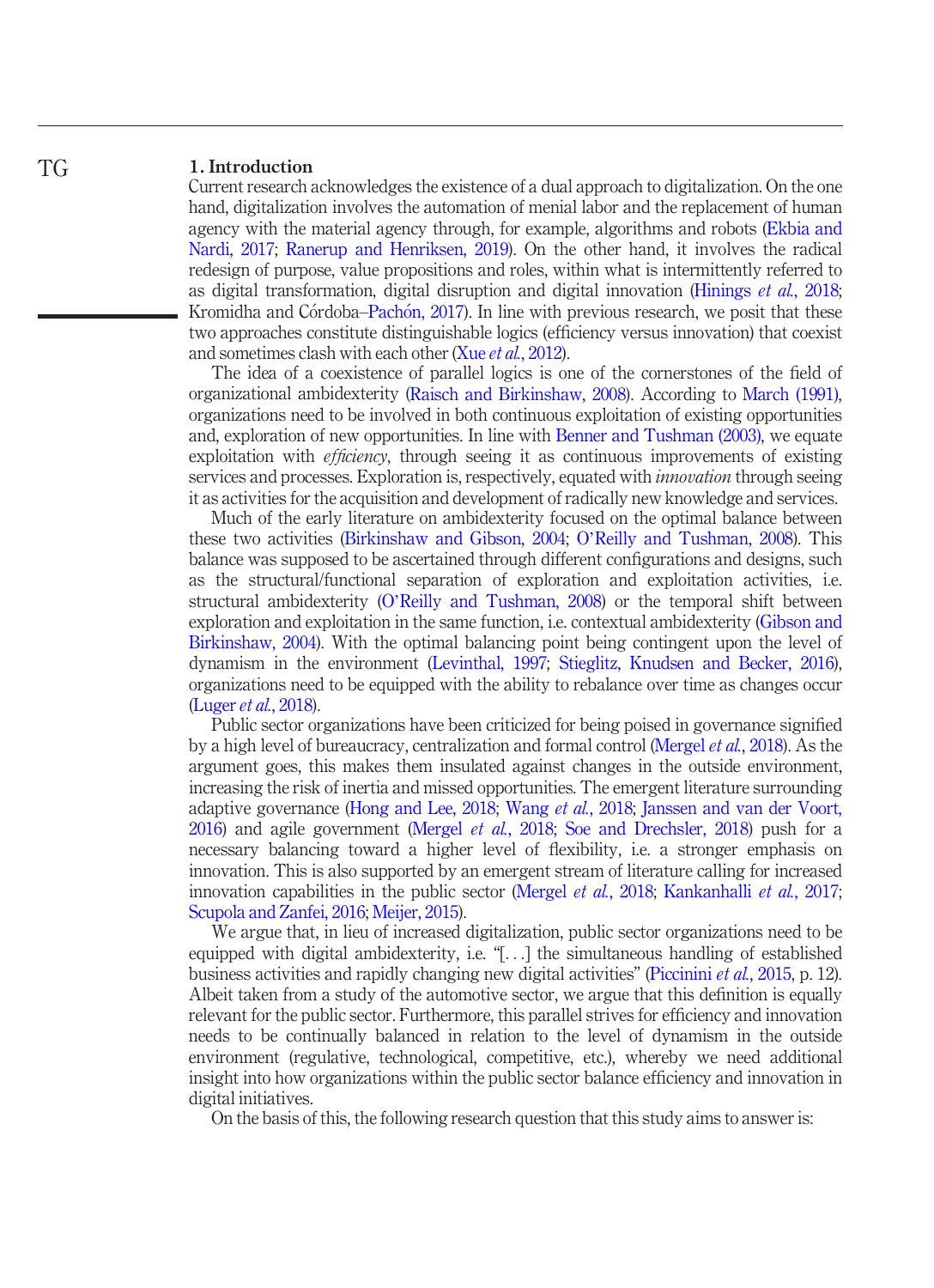#### 1. Introduction TG

Current research acknowledges the existence of a dual approach to digitalization. On the one hand, digitalization involves the automation of menial labor and the replacement of human agency with the material agency through, for example, algorithms and robots [\(Ekbia and](#page-17-0) [Nardi, 2017](#page-17-0); [Ranerup and Henriksen, 2019\)](#page-19-0). On the other hand, it involves the radical redesign of purpose, value propositions and roles, within what is intermittently referred to as digital transformation, digital disruption and digital innovation [\(Hinings](#page-17-1) *et al.*, 2018; Kromidha and Córdoba–Pachón, 2017). In line with previous research, we posit that these two approaches constitute distinguishable logics (efficiency versus innovation) that coexist and sometimes clash with each other (Xue et al.[, 2012\)](#page-19-1).

The idea of a coexistence of parallel logics is one of the cornerstones of the field of organizational ambidexterity ([Raisch and Birkinshaw, 2008\)](#page-18-0). According to [March \(1991\),](#page-18-1) organizations need to be involved in both continuous exploitation of existing opportunities and, exploration of new opportunities. In line with [Benner and Tushman \(2003\)](#page-17-3), we equate exploitation with *efficiency*, through seeing it as continuous improvements of existing services and processes. Exploration is, respectively, equated with *innovation* through seeing it as activities for the acquisition and development of radically new knowledge and services.

Much of the early literature on ambidexterity focused on the optimal balance between these two activities [\(Birkinshaw and Gibson, 2004;](#page-17-4) O'[Reilly and Tushman, 2008\)](#page-18-2). This balance was supposed to be ascertained through different configurations and designs, such as the structural/functional separation of exploration and exploitation activities, i.e. structural ambidexterity (O'[Reilly and Tushman, 2008\)](#page-18-2) or the temporal shift between exploration and exploitation in the same function, i.e. contextual ambidexterity ([Gibson and](#page-17-5) [Birkinshaw, 2004](#page-17-5)). With the optimal balancing point being contingent upon the level of dynamism in the environment [\(Levinthal, 1997;](#page-18-3) [Stieglitz, Knudsen and Becker, 2016\)](#page-19-2), organizations need to be equipped with the ability to rebalance over time as changes occur [\(Luger](#page-18-4) et al., 2018).

Public sector organizations have been criticized for being poised in governance signified by a high level of bureaucracy, centralization and formal control [\(Mergel](#page-18-5) et al., 2018). As the argument goes, this makes them insulated against changes in the outside environment, increasing the risk of inertia and missed opportunities. The emergent literature surrounding adaptive governance ([Hong and Lee, 2018;](#page-17-6) [Wang](#page-19-3) et al., 2018; [Janssen and van der Voort,](#page-17-7) [2016](#page-17-7)) and agile government ([Mergel](#page-18-5) et al., 2018; [Soe and Drechsler, 2018](#page-19-4)) push for a necessary balancing toward a higher level of flexibility, i.e. a stronger emphasis on innovation. This is also supported by an emergent stream of literature calling for increased innovation capabilities in the public sector [\(Mergel](#page-18-5) *et al.*, 2018; [Kankanhalli](#page-17-8) *et al.*, 2017; [Scupola and Zanfei, 2016](#page-19-5); [Meijer, 2015](#page-18-6)).

We argue that, in lieu of increased digitalization, public sector organizations need to be equipped with digital ambidexterity, i.e. "[...] the simultaneous handling of established business activities and rapidly changing new digital activities" [\(Piccinini](#page-18-7) et al., 2015, p. 12). Albeit taken from a study of the automotive sector, we argue that this definition is equally relevant for the public sector. Furthermore, this parallel strives for efficiency and innovation needs to be continually balanced in relation to the level of dynamism in the outside environment (regulative, technological, competitive, etc.), whereby we need additional insight into how organizations within the public sector balance efficiency and innovation in digital initiatives.

On the basis of this, the following research question that this study aims to answer is: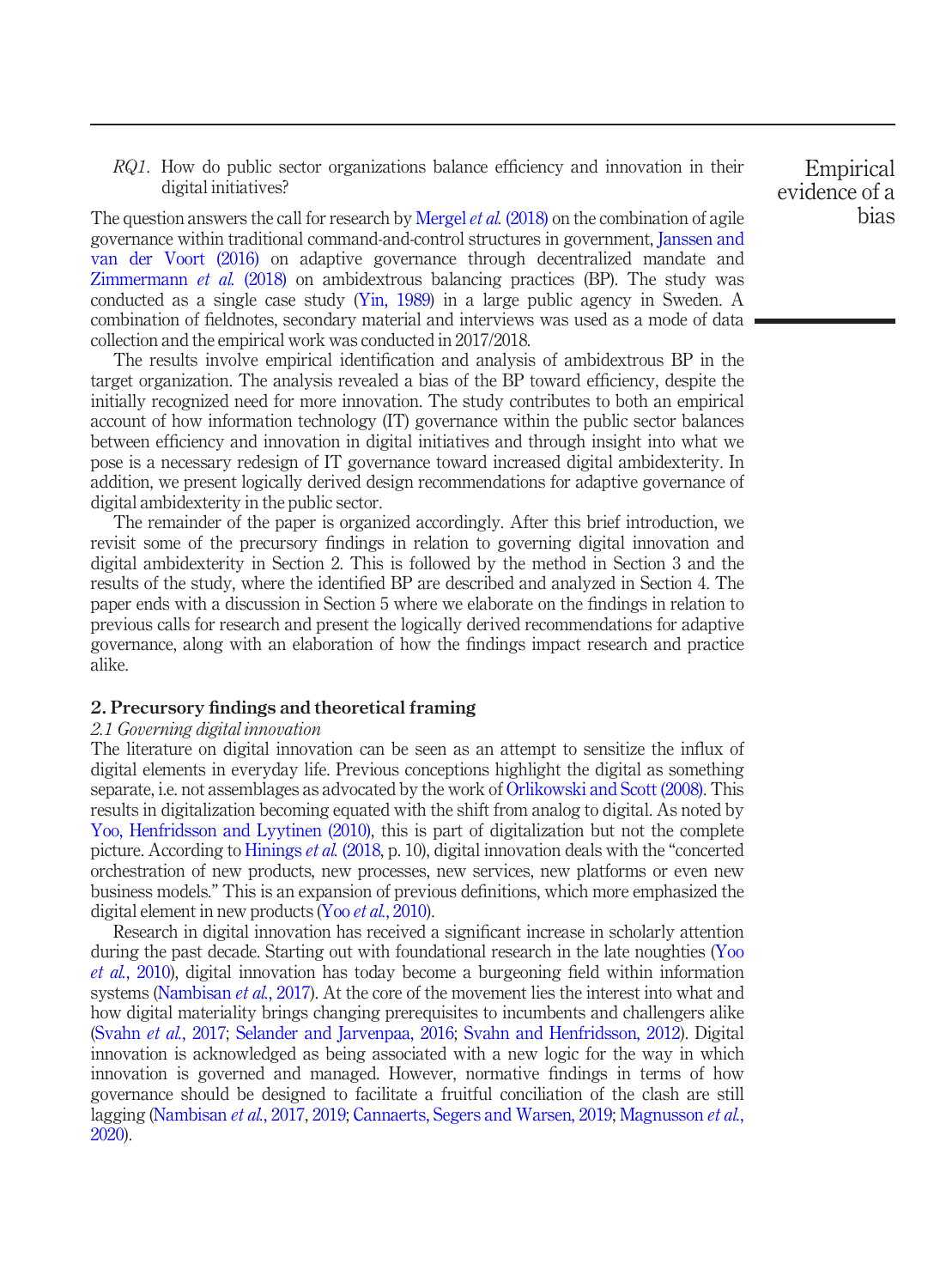RQ1. How do public sector organizations balance efficiency and innovation in their digital initiatives?

The question answers the call for research by [Mergel](#page-18-5) *et al.* (2018) on the combination of agile governance within traditional command-and-control structures in government, [Janssen and](#page-17-7) [van der Voort \(2016\)](#page-17-7) on adaptive governance through decentralized mandate and [Zimmermann](#page-19-6) et al. (2018) on ambidextrous balancing practices (BP). The study was conducted as a single case study [\(Yin, 1989](#page-19-7)) in a large public agency in Sweden. A combination of fieldnotes, secondary material and interviews was used as a mode of data collection and the empirical work was conducted in 2017/2018.

The results involve empirical identification and analysis of ambidextrous BP in the target organization. The analysis revealed a bias of the BP toward efficiency, despite the initially recognized need for more innovation. The study contributes to both an empirical account of how information technology (IT) governance within the public sector balances between efficiency and innovation in digital initiatives and through insight into what we pose is a necessary redesign of IT governance toward increased digital ambidexterity. In addition, we present logically derived design recommendations for adaptive governance of digital ambidexterity in the public sector.

The remainder of the paper is organized accordingly. After this brief introduction, we revisit some of the precursory findings in relation to governing digital innovation and digital ambidexterity in Section 2. This is followed by the method in Section 3 and the results of the study, where the identified BP are described and analyzed in Section 4. The paper ends with a discussion in Section 5 where we elaborate on the findings in relation to previous calls for research and present the logically derived recommendations for adaptive governance, along with an elaboration of how the findings impact research and practice alike.

# 2. Precursory findings and theoretical framing

### 2.1 Governing digital innovation

The literature on digital innovation can be seen as an attempt to sensitize the influx of digital elements in everyday life. Previous conceptions highlight the digital as something separate, i.e. not assemblages as advocated by the work of [Orlikowski and Scott \(2008\).](#page-18-8) This results in digitalization becoming equated with the shift from analog to digital. As noted by [Yoo, Henfridsson and Lyytinen \(2010\),](#page-19-8) this is part of digitalization but not the complete picture. According to [Hinings](#page-17-1) et al. (2018, p. 10), digital innovation deals with the "concerted orchestration of new products, new processes, new services, new platforms or even new business models." This is an expansion of previous definitions, which more emphasized the digital element in new products (Yoo et al.[, 2010](#page-19-8)).

Research in digital innovation has received a significant increase in scholarly attention during the past decade. Starting out with foundational research in the late noughties ([Yoo](#page-19-8) et al.[, 2010\)](#page-19-8), digital innovation has today become a burgeoning field within information systems ([Nambisan](#page-18-9) *et al.*, 2017). At the core of the movement lies the interest into what and how digital materiality brings changing prerequisites to incumbents and challengers alike [\(Svahn](#page-19-9) et al., 2017; [Selander and Jarvenpaa, 2016;](#page-19-10) [Svahn and Henfridsson, 2012](#page-19-11)). Digital innovation is acknowledged as being associated with a new logic for the way in which innovation is governed and managed. However, normative findings in terms of how governance should be designed to facilitate a fruitful conciliation of the clash are still lagging [\(Nambisan](#page-18-9) et al., 2017, [2019;](#page-18-10) [Cannaerts, Segers and Warsen, 2019;](#page-17-9) [Magnusson](#page-18-11) et al., [2020\)](#page-18-11).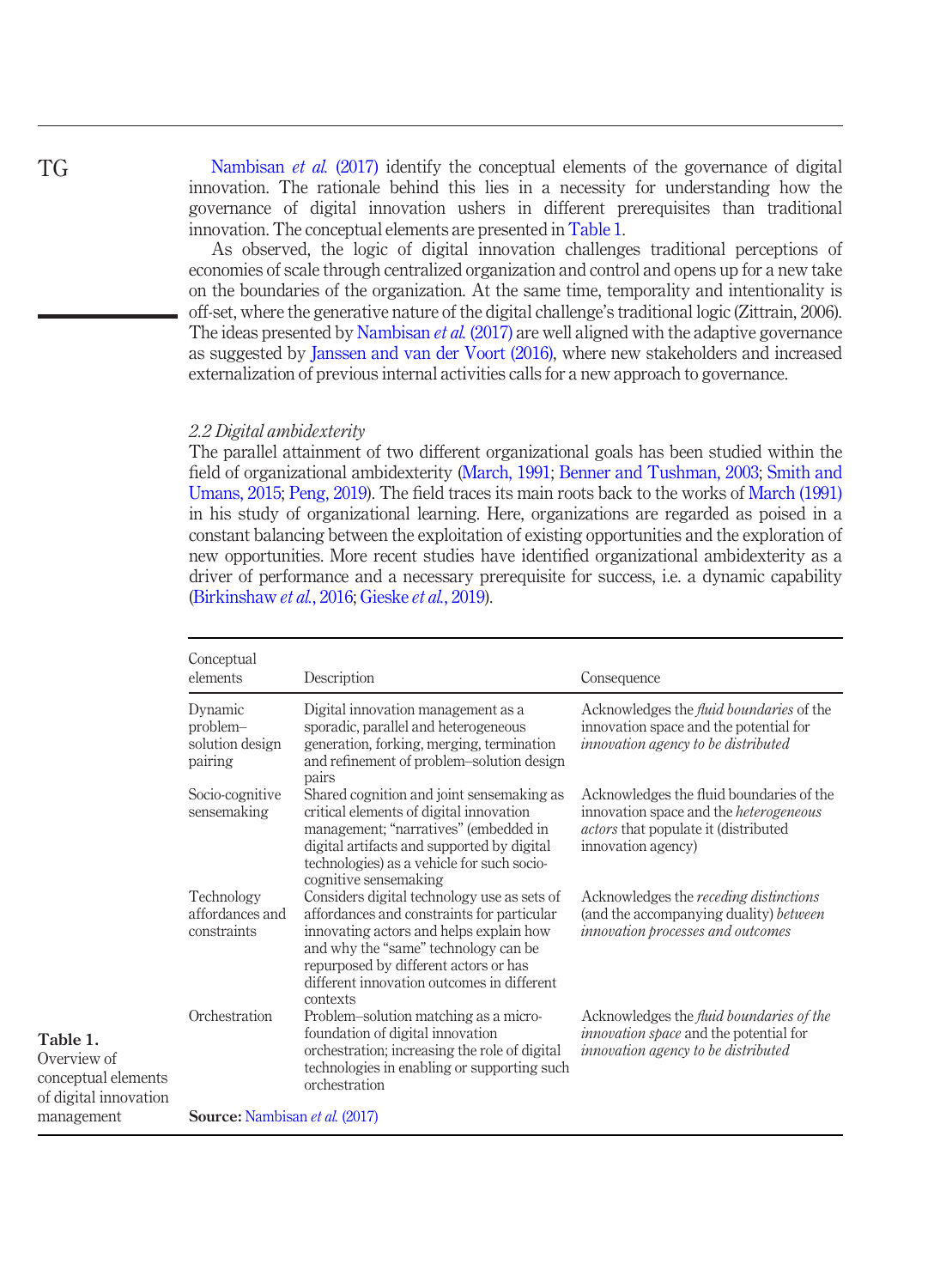[Nambisan](#page-18-9) *et al.* (2017) identify the conceptual elements of the governance of digital innovation. The rationale behind this lies in a necessity for understanding how the governance of digital innovation ushers in different prerequisites than traditional innovation. The conceptual elements are presented in [Table 1.](#page-3-0)

As observed, the logic of digital innovation challenges traditional perceptions of economies of scale through centralized organization and control and opens up for a new take on the boundaries of the organization. At the same time, temporality and intentionality is off-set, where the generative nature of the digital challenge's traditional logic (Zittrain, 2006). The ideas presented by [Nambisan](#page-18-9) *et al.* (2017) are well aligned with the adaptive governance as suggested by [Janssen and van der Voort \(2016\)](#page-17-7), where new stakeholders and increased externalization of previous internal activities calls for a new approach to governance.

#### 2.2 Digital ambidexterity

The parallel attainment of two different organizational goals has been studied within the field of organizational ambidexterity [\(March, 1991](#page-18-1); [Benner and Tushman, 2003;](#page-17-3) [Smith and](#page-19-12) [Umans, 2015;](#page-19-12) [Peng, 2019\)](#page-18-12). The field traces its main roots back to the works of [March \(1991\)](#page-18-1) in his study of organizational learning. Here, organizations are regarded as poised in a constant balancing between the exploitation of existing opportunities and the exploration of new opportunities. More recent studies have identified organizational ambidexterity as a driver of performance and a necessary prerequisite for success, i.e. a dynamic capability [\(Birkinshaw](#page-17-10) et al., 2016; [Gieske](#page-17-11) et al., 2019).

<span id="page-3-0"></span>

|                                                                         | Conceptual<br>elements                            | Description                                                                                                                                                                                                                                                                     | Consequence                                                                                                                                                    |  |  |
|-------------------------------------------------------------------------|---------------------------------------------------|---------------------------------------------------------------------------------------------------------------------------------------------------------------------------------------------------------------------------------------------------------------------------------|----------------------------------------------------------------------------------------------------------------------------------------------------------------|--|--|
|                                                                         | Dynamic<br>problem-<br>solution design<br>pairing | Digital innovation management as a<br>sporadic, parallel and heterogeneous<br>generation, forking, merging, termination<br>and refinement of problem-solution design<br>pairs                                                                                                   | Acknowledges the <i>fluid boundaries</i> of the<br>innovation space and the potential for<br>innovation agency to be distributed                               |  |  |
|                                                                         | Socio-cognitive<br>sensemaking                    | Shared cognition and joint sensemaking as<br>critical elements of digital innovation<br>management; "narratives" (embedded in<br>digital artifacts and supported by digital<br>technologies) as a vehicle for such socio-<br>cognitive sensemaking                              | Acknowledges the fluid boundaries of the<br>innovation space and the <i>heterogeneous</i><br><i>actors</i> that populate it (distributed<br>innovation agency) |  |  |
|                                                                         | Technology<br>affordances and<br>constraints      | Considers digital technology use as sets of<br>affordances and constraints for particular<br>innovating actors and helps explain how<br>and why the "same" technology can be<br>repurposed by different actors or has<br>different innovation outcomes in different<br>contexts | Acknowledges the <i>receding distinctions</i><br>(and the accompanying duality) between<br><i>innovation processes and outcomes</i>                            |  |  |
| Table 1.<br>Overview of<br>conceptual elements<br>of digital innovation | Orchestration                                     | Problem-solution matching as a micro-<br>foundation of digital innovation<br>orchestration; increasing the role of digital<br>technologies in enabling or supporting such<br>orchestration                                                                                      | Acknowledges the <i>fluid boundaries of the</i><br><i>innovation space</i> and the potential for<br><i>innovation agency to be distributed</i>                 |  |  |
| management                                                              | <b>Source:</b> Nambisan et al. (2017)             |                                                                                                                                                                                                                                                                                 |                                                                                                                                                                |  |  |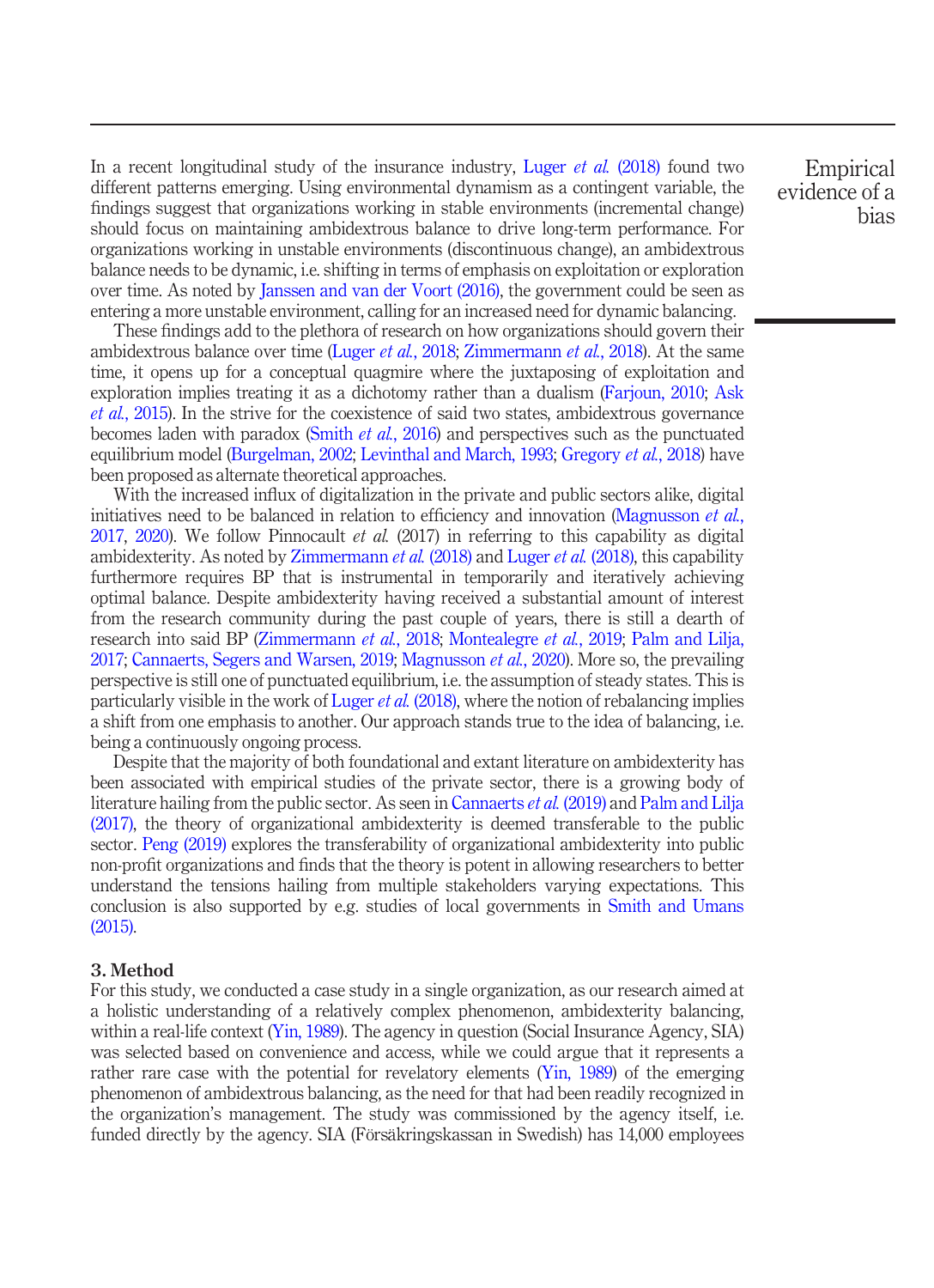In a recent longitudinal study of the insurance industry, Luger *et al.* [\(2018\)](#page-18-4) found two different patterns emerging. Using environmental dynamism as a contingent variable, the findings suggest that organizations working in stable environments (incremental change) should focus on maintaining ambidextrous balance to drive long-term performance. For organizations working in unstable environments (discontinuous change), an ambidextrous balance needs to be dynamic, i.e. shifting in terms of emphasis on exploitation or exploration over time. As noted by [Janssen and van der Voort \(2016\)](#page-17-7), the government could be seen as entering a more unstable environment, calling for an increased need for dynamic balancing.

These findings add to the plethora of research on how organizations should govern their ambidextrous balance over time (Luger et al.[, 2018;](#page-18-4) [Zimmermann](#page-19-6) et al., 2018). At the same time, it opens up for a conceptual quagmire where the juxtaposing of exploitation and exploration implies treating it as a dichotomy rather than a dualism ([Farjoun, 2010](#page-17-12); [Ask](#page-17-13) et al.[, 2015\)](#page-17-13). In the strive for the coexistence of said two states, ambidextrous governance becomes laden with paradox (Smith et al.[, 2016\)](#page-19-13) and perspectives such as the punctuated equilibrium model [\(Burgelman, 2002](#page-17-14); [Levinthal and March, 1993](#page-18-13); [Gregory](#page-17-15) et al., 2018) have been proposed as alternate theoretical approaches.

With the increased influx of digitalization in the private and public sectors alike, digital initiatives need to be balanced in relation to efficiency and innovation [\(Magnusson](#page-18-14) *et al.*, [2017,](#page-18-14) [2020](#page-18-11)). We follow Pinnocault et al. (2017) in referring to this capability as digital ambidexterity. As noted by [Zimmermann](#page-19-6) *et al.* (2018) and [Luger](#page-18-4) *et al.* (2018), this capability furthermore requires BP that is instrumental in temporarily and iteratively achieving optimal balance. Despite ambidexterity having received a substantial amount of interest from the research community during the past couple of years, there is still a dearth of research into said BP ([Zimmermann](#page-19-6) et al., 2018; [Montealegre](#page-18-15) et al., 2019; [Palm and Lilja,](#page-18-16) [2017;](#page-18-16) [Cannaerts, Segers and Warsen, 2019](#page-17-9); [Magnusson](#page-18-11) *et al.*, 2020). More so, the prevailing perspective is still one of punctuated equilibrium, i.e. the assumption of steady states. This is particularly visible in the work of [Luger](#page-18-4) *et al.* (2018), where the notion of rebalancing implies a shift from one emphasis to another. Our approach stands true to the idea of balancing, i.e. being a continuously ongoing process.

Despite that the majority of both foundational and extant literature on ambidexterity has been associated with empirical studies of the private sector, there is a growing body of literature hailing from the public sector. As seen in [Cannaerts](#page-17-9) *et al.* (2019) and [Palm and Lilja](#page-18-16) [\(2017\)](#page-18-16), the theory of organizational ambidexterity is deemed transferable to the public sector. [Peng \(2019\)](#page-18-12) explores the transferability of organizational ambidexterity into public non-profit organizations and finds that the theory is potent in allowing researchers to better understand the tensions hailing from multiple stakeholders varying expectations. This conclusion is also supported by e.g. studies of local governments in [Smith and Umans](#page-19-12) [\(2015\)](#page-19-12).

# 3. Method

For this study, we conducted a case study in a single organization, as our research aimed at a holistic understanding of a relatively complex phenomenon, ambidexterity balancing, within a real-life context ([Yin, 1989](#page-19-7)). The agency in question (Social Insurance Agency, SIA) was selected based on convenience and access, while we could argue that it represents a rather rare case with the potential for revelatory elements  $(Yin, 1989)$  of the emerging phenomenon of ambidextrous balancing, as the need for that had been readily recognized in the organization's management. The study was commissioned by the agency itself, i.e. funded directly by the agency. SIA (Försäkringskassan in Swedish) has 14,000 employees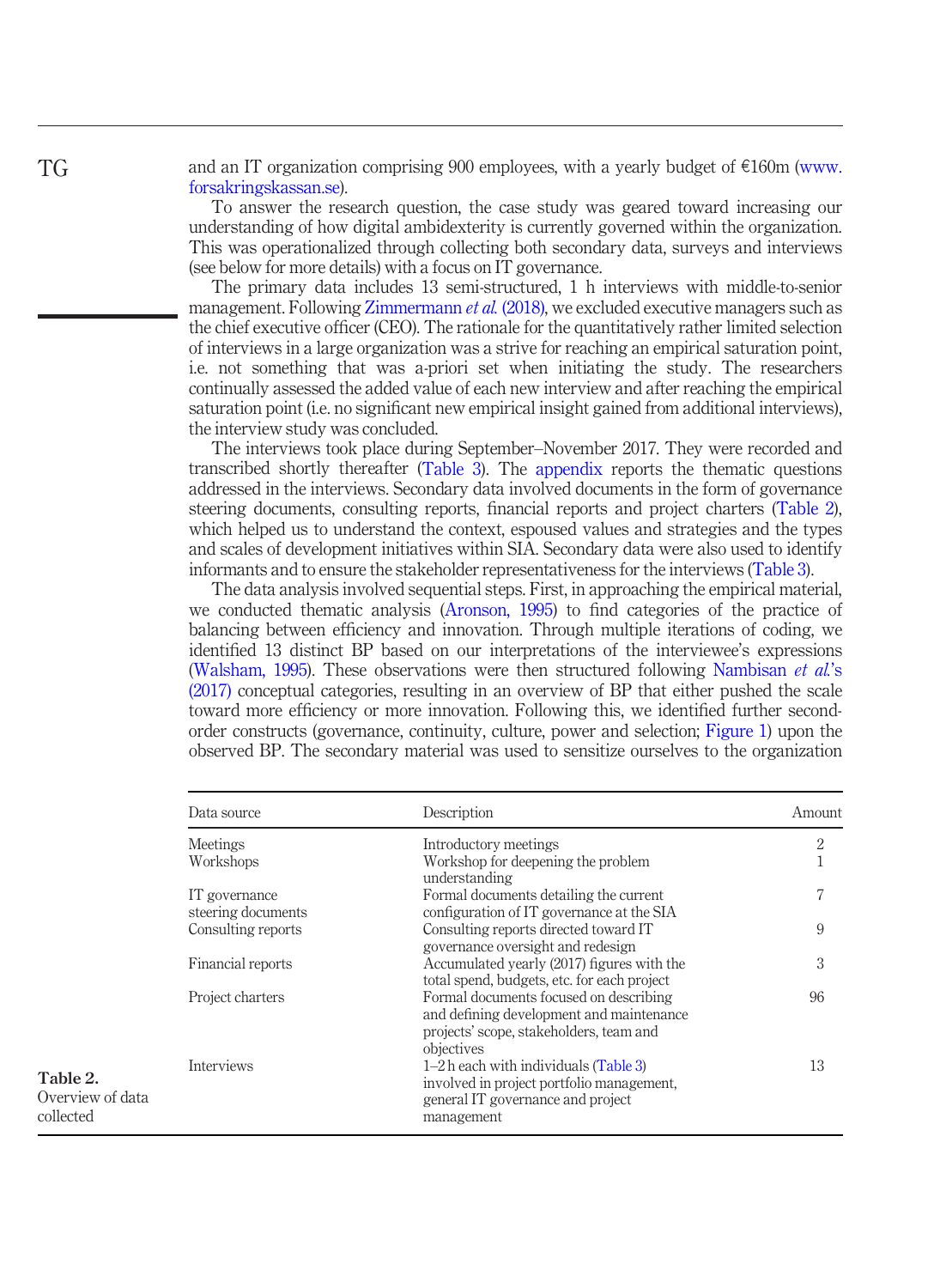and an IT organization comprising 900 employees, with a yearly budget of  $\epsilon$ 160m [\(www.](http://www.forsakringskassan.se) [forsakringskassan.se](http://www.forsakringskassan.se)).

To answer the research question, the case study was geared toward increasing our understanding of how digital ambidexterity is currently governed within the organization. This was operationalized through collecting both secondary data, surveys and interviews (see below for more details) with a focus on IT governance.

The primary data includes 13 semi-structured, 1 h interviews with middle-to-senior management. Following [Zimmermann](#page-19-6) et al. (2018), we excluded executive managers such as the chief executive officer (CEO). The rationale for the quantitatively rather limited selection of interviews in a large organization was a strive for reaching an empirical saturation point, i.e. not something that was a-priori set when initiating the study. The researchers continually assessed the added value of each new interview and after reaching the empirical saturation point (i.e. no significant new empirical insight gained from additional interviews), the interview study was concluded.

The interviews took place during September–November 2017. They were recorded and transcribed shortly thereafter [\(Table 3](#page-6-0)). The [appendix](#page-19-14) reports the thematic questions addressed in the interviews. Secondary data involved documents in the form of governance steering documents, consulting reports, financial reports and project charters [\(Table 2\)](#page-5-0), which helped us to understand the context, espoused values and strategies and the types and scales of development initiatives within SIA. Secondary data were also used to identify informants and to ensure the stakeholder representativeness for the interviews [\(Table 3\)](#page-6-0).

The data analysis involved sequential steps. First, in approaching the empirical material, we conducted thematic analysis ([Aronson, 1995](#page-17-16)) to find categories of the practice of balancing between efficiency and innovation. Through multiple iterations of coding, we identified 13 distinct BP based on our interpretations of the interviewee's expressions [\(Walsham, 1995](#page-19-15)). These observations were then structured following [Nambisan](#page-18-9) et al.'s [\(2017\)](#page-18-9) conceptual categories, resulting in an overview of BP that either pushed the scale toward more efficiency or more innovation. Following this, we identified further secondorder constructs (governance, continuity, culture, power and selection; [Figure 1](#page-6-1)) upon the observed BP. The secondary material was used to sensitize ourselves to the organization

| Data source                         | Description                                                                                                                                 | Amount         |  |
|-------------------------------------|---------------------------------------------------------------------------------------------------------------------------------------------|----------------|--|
| Meetings                            | Introductory meetings                                                                                                                       | $\overline{2}$ |  |
| Workshops                           | Workshop for deepening the problem<br>understanding                                                                                         | 1              |  |
| IT governance<br>steering documents | Formal documents detailing the current<br>configuration of IT governance at the SIA                                                         | 7              |  |
| Consulting reports                  | Consulting reports directed toward IT<br>governance oversight and redesign                                                                  | 9              |  |
| Financial reports                   | Accumulated yearly (2017) figures with the<br>total spend, budgets, etc. for each project                                                   | 3              |  |
| Project charters                    | Formal documents focused on describing<br>and defining development and maintenance<br>projects' scope, stakeholders, team and<br>objectives | 96             |  |
| Interviews                          | $1-2h$ each with individuals (Table 3)<br>involved in project portfolio management.<br>general IT governance and project<br>management      | 13             |  |

<span id="page-5-0"></span>Table 2. Overview of data collected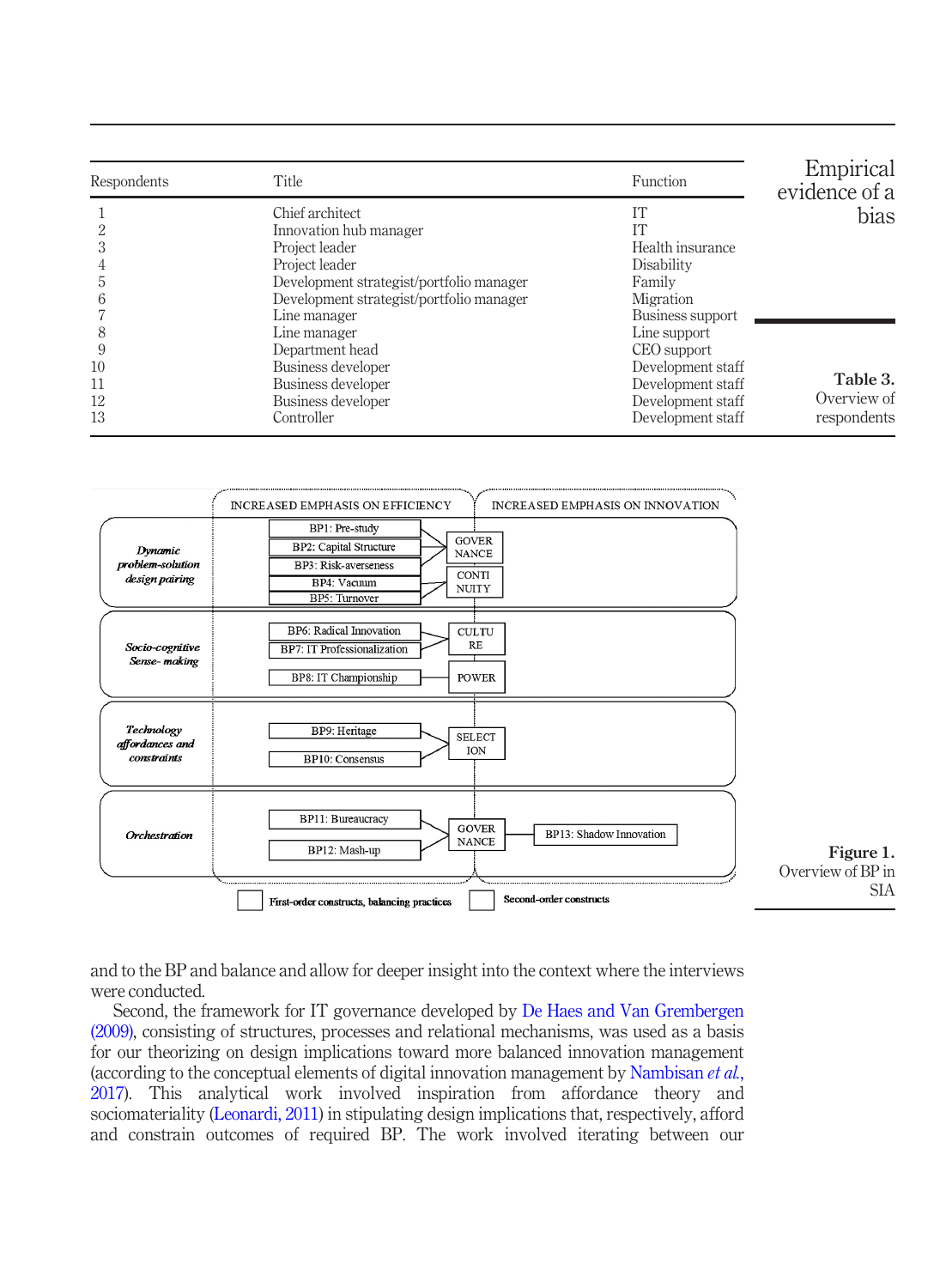<span id="page-6-0"></span>

| Respondents                    | <b>Title</b>                                                                                                                                                                          | Function                                                                                                        | Empirical<br>evidence of a             |
|--------------------------------|---------------------------------------------------------------------------------------------------------------------------------------------------------------------------------------|-----------------------------------------------------------------------------------------------------------------|----------------------------------------|
| 5<br>h                         | Chief architect<br>Innovation hub manager<br>Project leader<br>Project leader<br>Development strategist/portfolio manager<br>Development strategist/portfolio manager<br>Line manager | IТ<br>IT<br>Health insurance<br>Disability<br>Family<br>Migration<br>Business support                           | bias                                   |
| 8<br>9<br>10<br>11<br>12<br>13 | Line manager<br>Department head<br>Business developer<br>Business developer<br>Business developer<br>Controller                                                                       | Line support<br>CEO support<br>Development staff<br>Development staff<br>Development staff<br>Development staff | Table 3.<br>Overview of<br>respondents |



<span id="page-6-1"></span>and to the BP and balance and allow for deeper insight into the context where the interviews were conducted.

Second, the framework for IT governance developed by [De Haes and Van Grembergen](#page-17-17) [\(2009\)](#page-17-17), consisting of structures, processes and relational mechanisms, was used as a basis for our theorizing on design implications toward more balanced innovation management (according to the conceptual elements of digital innovation management by [Nambisan](#page-18-9) et al., [2017\)](#page-18-9). This analytical work involved inspiration from affordance theory and sociomateriality [\(Leonardi, 2011](#page-18-17)) in stipulating design implications that, respectively, afford and constrain outcomes of required BP. The work involved iterating between our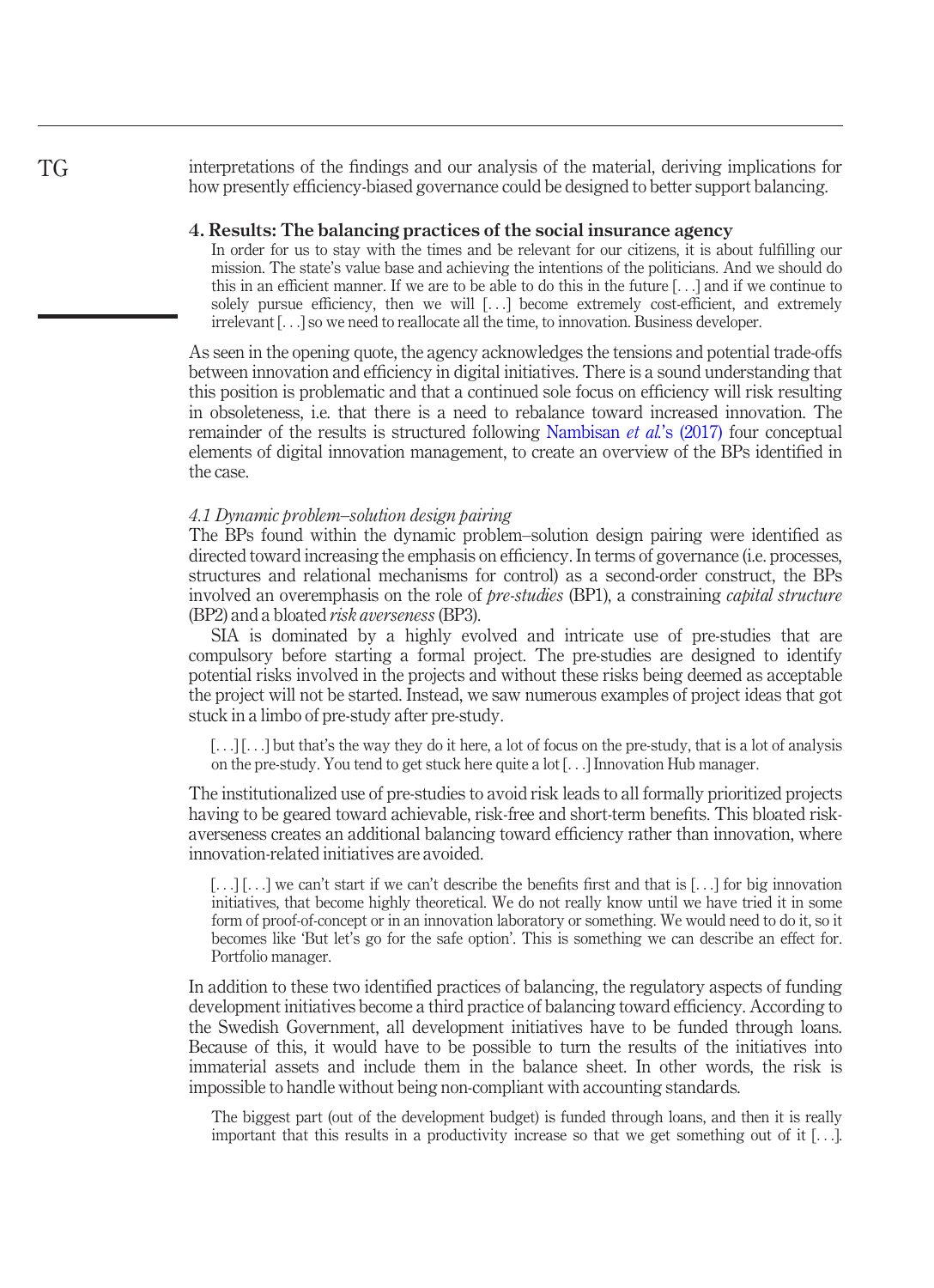interpretations of the findings and our analysis of the material, deriving implications for how presently efficiency-biased governance could be designed to better support balancing.

#### 4. Results: The balancing practices of the social insurance agency

In order for us to stay with the times and be relevant for our citizens, it is about fulfilling our mission. The state's value base and achieving the intentions of the politicians. And we should do this in an efficient manner. If we are to be able to do this in the future [...] and if we continue to solely pursue efficiency, then we will [...] become extremely cost-efficient, and extremely irrelevant [...] so we need to reallocate all the time, to innovation. Business developer.

As seen in the opening quote, the agency acknowledges the tensions and potential trade-offs between innovation and efficiency in digital initiatives. There is a sound understanding that this position is problematic and that a continued sole focus on efficiency will risk resulting in obsoleteness, i.e. that there is a need to rebalance toward increased innovation. The remainder of the results is structured following [Nambisan](#page-18-9) et al.'s (2017) four conceptual elements of digital innovation management, to create an overview of the BPs identified in the case.

# 4.1 Dynamic problem–solution design pairing

The BPs found within the dynamic problem–solution design pairing were identified as directed toward increasing the emphasis on efficiency. In terms of governance (i.e. processes, structures and relational mechanisms for control) as a second-order construct, the BPs involved an overemphasis on the role of pre-studies (BP1), a constraining capital structure (BP2) and a bloated risk averseness(BP3).

SIA is dominated by a highly evolved and intricate use of pre-studies that are compulsory before starting a formal project. The pre-studies are designed to identify potential risks involved in the projects and without these risks being deemed as acceptable the project will not be started. Instead, we saw numerous examples of project ideas that got stuck in a limbo of pre-study after pre-study.

 $[\ldots][\ldots]$  but that's the way they do it here, a lot of focus on the pre-study, that is a lot of analysis on the pre-study. You tend to get stuck here quite a lot [...] Innovation Hub manager.

The institutionalized use of pre-studies to avoid risk leads to all formally prioritized projects having to be geared toward achievable, risk-free and short-term benefits. This bloated riskaverseness creates an additional balancing toward efficiency rather than innovation, where innovation-related initiatives are avoided.

[...] [...] we can't start if we can't describe the benefits first and that is [...] for big innovation initiatives, that become highly theoretical. We do not really know until we have tried it in some form of proof-of-concept or in an innovation laboratory or something. We would need to do it, so it becomes like 'But let's go for the safe option'. This is something we can describe an effect for. Portfolio manager.

In addition to these two identified practices of balancing, the regulatory aspects of funding development initiatives become a third practice of balancing toward efficiency. According to the Swedish Government, all development initiatives have to be funded through loans. Because of this, it would have to be possible to turn the results of the initiatives into immaterial assets and include them in the balance sheet. In other words, the risk is impossible to handle without being non-compliant with accounting standards.

The biggest part (out of the development budget) is funded through loans, and then it is really important that this results in a productivity increase so that we get something out of it [...].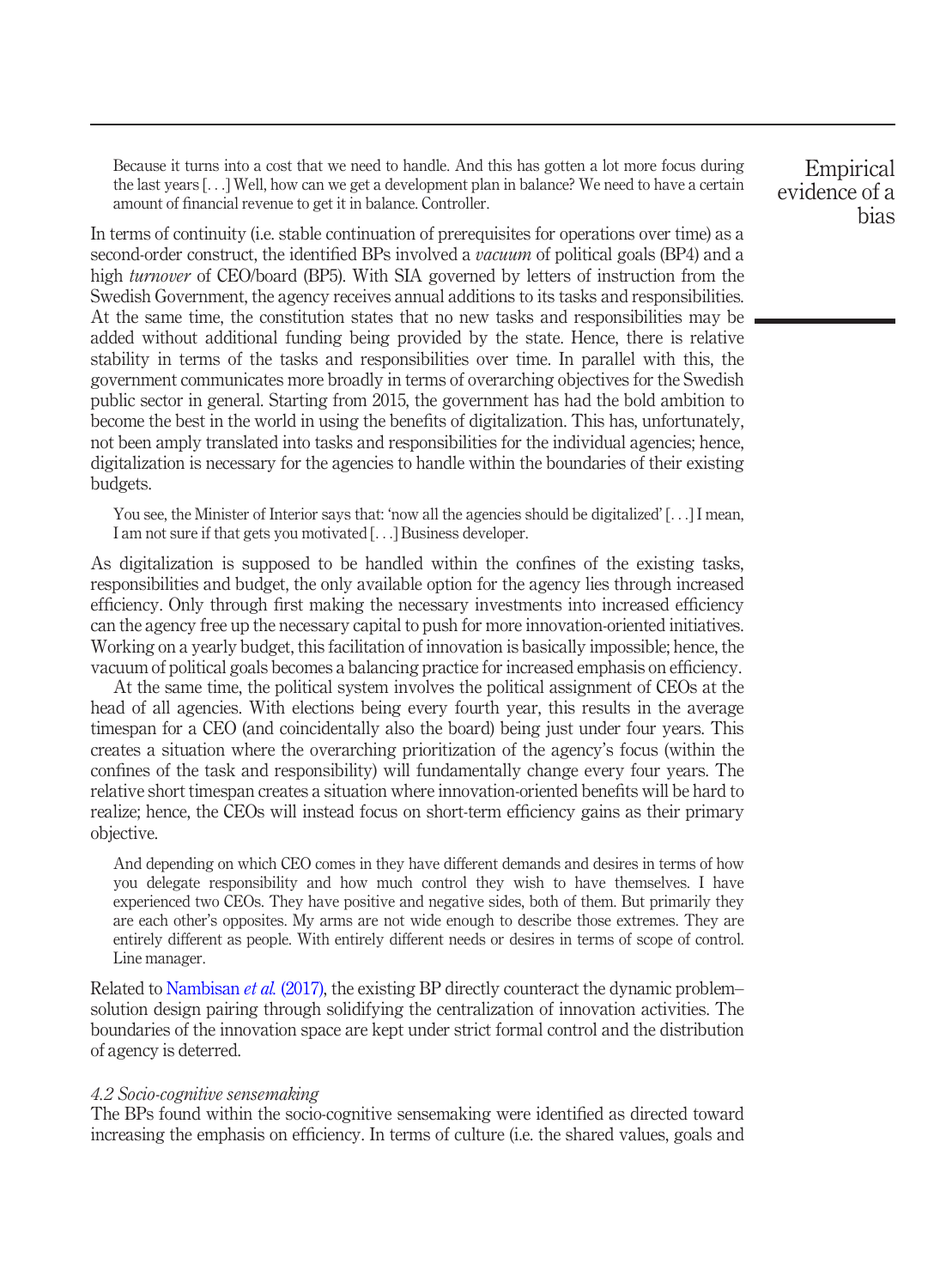Because it turns into a cost that we need to handle. And this has gotten a lot more focus during the last years [...] Well, how can we get a development plan in balance? We need to have a certain amount of financial revenue to get it in balance. Controller.

In terms of continuity (i.e. stable continuation of prerequisites for operations over time) as a second-order construct, the identified BPs involved a *vacuum* of political goals (BP4) and a high turnover of CEO/board (BP5). With SIA governed by letters of instruction from the Swedish Government, the agency receives annual additions to its tasks and responsibilities. At the same time, the constitution states that no new tasks and responsibilities may be added without additional funding being provided by the state. Hence, there is relative stability in terms of the tasks and responsibilities over time. In parallel with this, the government communicates more broadly in terms of overarching objectives for the Swedish public sector in general. Starting from 2015, the government has had the bold ambition to become the best in the world in using the benefits of digitalization. This has, unfortunately, not been amply translated into tasks and responsibilities for the individual agencies; hence, digitalization is necessary for the agencies to handle within the boundaries of their existing budgets.

You see, the Minister of Interior says that: 'now all the agencies should be digitalized' [...] I mean, I am not sure if that gets you motivated [...] Business developer.

As digitalization is supposed to be handled within the confines of the existing tasks, responsibilities and budget, the only available option for the agency lies through increased efficiency. Only through first making the necessary investments into increased efficiency can the agency free up the necessary capital to push for more innovation-oriented initiatives. Working on a yearly budget, this facilitation of innovation is basically impossible; hence, the vacuum of political goals becomes a balancing practice for increased emphasis on efficiency.

At the same time, the political system involves the political assignment of CEOs at the head of all agencies. With elections being every fourth year, this results in the average timespan for a CEO (and coincidentally also the board) being just under four years. This creates a situation where the overarching prioritization of the agency's focus (within the confines of the task and responsibility) will fundamentally change every four years. The relative short timespan creates a situation where innovation-oriented benefits will be hard to realize; hence, the CEOs will instead focus on short-term efficiency gains as their primary objective.

And depending on which CEO comes in they have different demands and desires in terms of how you delegate responsibility and how much control they wish to have themselves. I have experienced two CEOs. They have positive and negative sides, both of them. But primarily they are each other's opposites. My arms are not wide enough to describe those extremes. They are entirely different as people. With entirely different needs or desires in terms of scope of control. Line manager.

Related to [Nambisan](#page-18-9) *et al.* (2017), the existing BP directly counteract the dynamic problem– solution design pairing through solidifying the centralization of innovation activities. The boundaries of the innovation space are kept under strict formal control and the distribution of agency is deterred.

#### 4.2 Socio-cognitive sensemaking

The BPs found within the socio-cognitive sensemaking were identified as directed toward increasing the emphasis on efficiency. In terms of culture (i.e. the shared values, goals and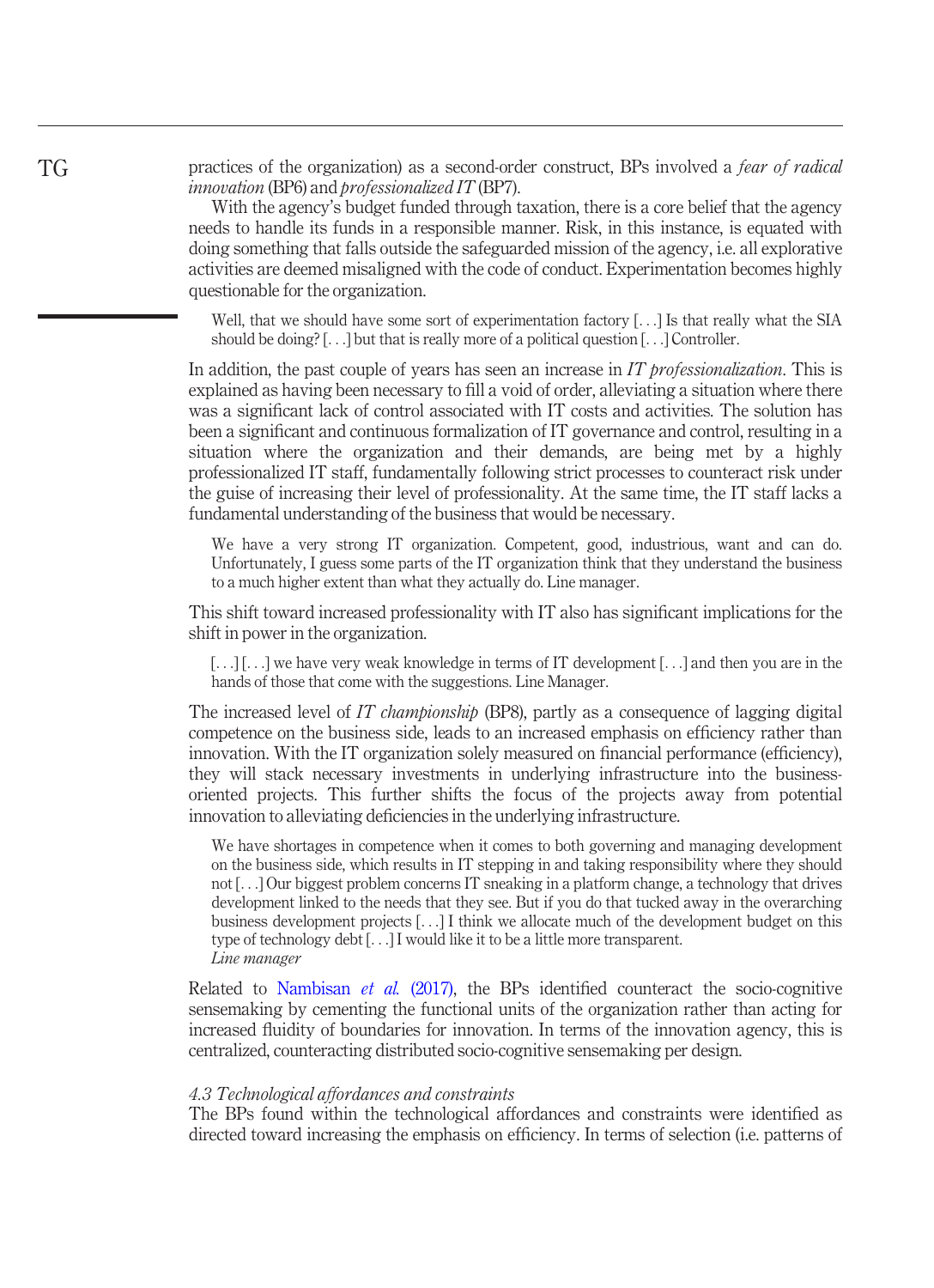practices of the organization) as a second-order construct, BPs involved a fear of radical innovation (BP6) and professionalized IT (BP7).

With the agency's budget funded through taxation, there is a core belief that the agency needs to handle its funds in a responsible manner. Risk, in this instance, is equated with doing something that falls outside the safeguarded mission of the agency, i.e. all explorative activities are deemed misaligned with the code of conduct. Experimentation becomes highly questionable for the organization.

Well, that we should have some sort of experimentation factory [...] Is that really what the SIA should be doing? [...] but that is really more of a political question [...] Controller.

In addition, the past couple of years has seen an increase in IT professionalization. This is explained as having been necessary to fill a void of order, alleviating a situation where there was a significant lack of control associated with IT costs and activities. The solution has been a significant and continuous formalization of IT governance and control, resulting in a situation where the organization and their demands, are being met by a highly professionalized IT staff, fundamentally following strict processes to counteract risk under the guise of increasing their level of professionality. At the same time, the IT staff lacks a fundamental understanding of the business that would be necessary.

We have a very strong IT organization. Competent, good, industrious, want and can do. Unfortunately, I guess some parts of the IT organization think that they understand the business to a much higher extent than what they actually do. Line manager.

This shift toward increased professionality with IT also has significant implications for the shift in power in the organization.

[...] [...] we have very weak knowledge in terms of IT development [...] and then you are in the hands of those that come with the suggestions. Line Manager.

The increased level of IT championship (BP8), partly as a consequence of lagging digital competence on the business side, leads to an increased emphasis on efficiency rather than innovation. With the IT organization solely measured on financial performance (efficiency), they will stack necessary investments in underlying infrastructure into the businessoriented projects. This further shifts the focus of the projects away from potential innovation to alleviating deficiencies in the underlying infrastructure.

We have shortages in competence when it comes to both governing and managing development on the business side, which results in IT stepping in and taking responsibility where they should not [...] Our biggest problem concerns IT sneaking in a platform change, a technology that drives development linked to the needs that they see. But if you do that tucked away in the overarching business development projects [...] I think we allocate much of the development budget on this type of technology debt [...] I would like it to be a little more transparent. Line manager

Related to [Nambisan](#page-18-9) et al. (2017), the BPs identified counteract the socio-cognitive sensemaking by cementing the functional units of the organization rather than acting for increased fluidity of boundaries for innovation. In terms of the innovation agency, this is centralized, counteracting distributed socio-cognitive sensemaking per design.

#### 4.3 Technological affordances and constraints

The BPs found within the technological affordances and constraints were identified as directed toward increasing the emphasis on efficiency. In terms of selection (i.e. patterns of

TG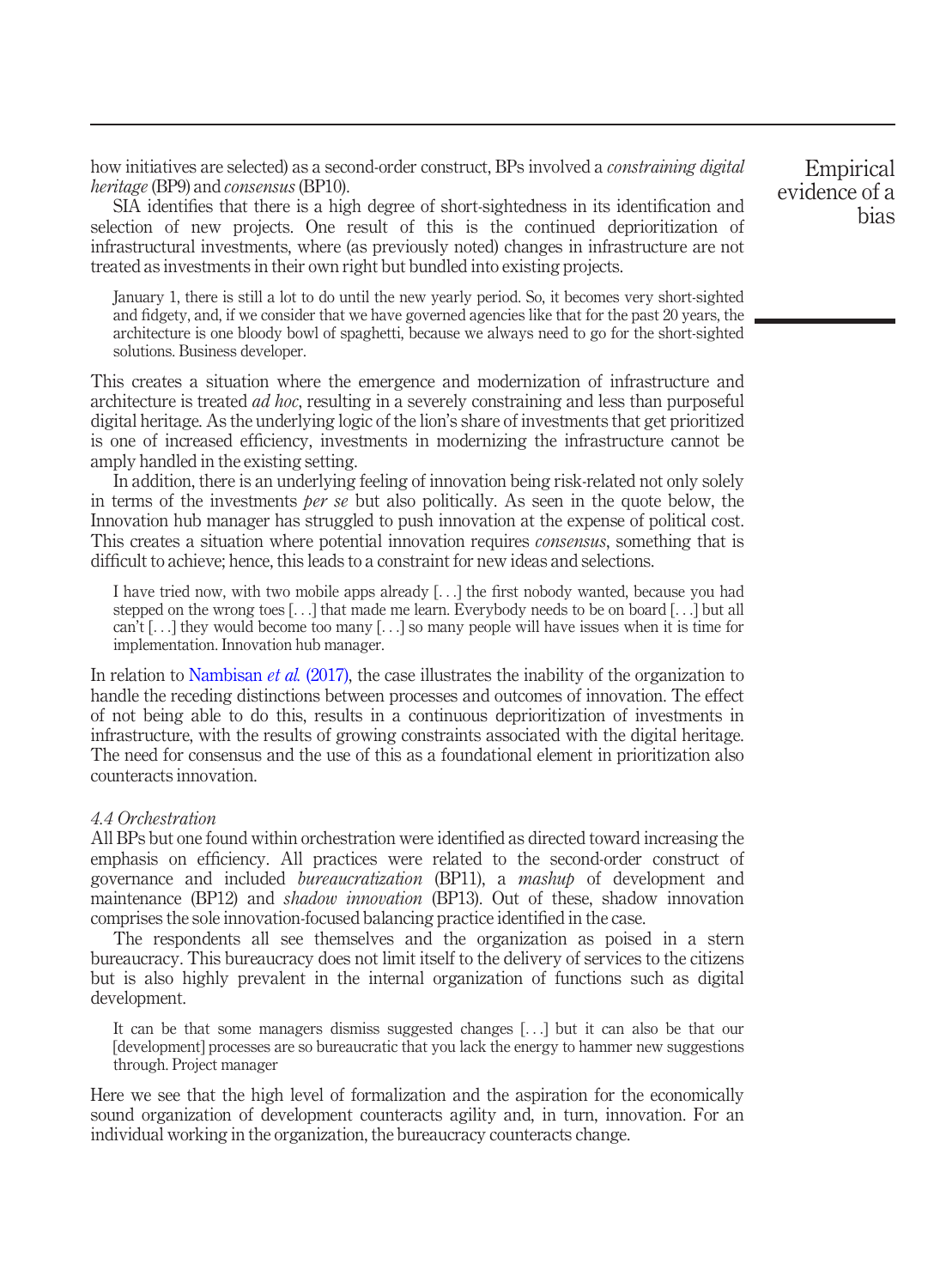how initiatives are selected) as a second-order construct, BPs involved a *constraining digital* heritage (BP9) and consensus (BP10).

SIA identifies that there is a high degree of short-sightedness in its identification and selection of new projects. One result of this is the continued deprioritization of infrastructural investments, where (as previously noted) changes in infrastructure are not treated as investments in their own right but bundled into existing projects.

January 1, there is still a lot to do until the new yearly period. So, it becomes very short-sighted and fidgety, and, if we consider that we have governed agencies like that for the past 20 years, the architecture is one bloody bowl of spaghetti, because we always need to go for the short-sighted solutions. Business developer.

This creates a situation where the emergence and modernization of infrastructure and architecture is treated ad hoc, resulting in a severely constraining and less than purposeful digital heritage. As the underlying logic of the lion's share of investments that get prioritized is one of increased efficiency, investments in modernizing the infrastructure cannot be amply handled in the existing setting.

In addition, there is an underlying feeling of innovation being risk-related not only solely in terms of the investments *ber se* but also politically. As seen in the quote below, the Innovation hub manager has struggled to push innovation at the expense of political cost. This creates a situation where potential innovation requires *consensus*, something that is difficult to achieve; hence, this leads to a constraint for new ideas and selections.

I have tried now, with two mobile apps already [...] the first nobody wanted, because you had stepped on the wrong toes [...] that made me learn. Everybody needs to be on board [...] but all can't [...] they would become too many [...] so many people will have issues when it is time for implementation. Innovation hub manager.

In relation to [Nambisan](#page-18-9) *et al.* (2017), the case illustrates the inability of the organization to handle the receding distinctions between processes and outcomes of innovation. The effect of not being able to do this, results in a continuous deprioritization of investments in infrastructure, with the results of growing constraints associated with the digital heritage. The need for consensus and the use of this as a foundational element in prioritization also counteracts innovation.

## 4.4 Orchestration

All BPs but one found within orchestration were identified as directed toward increasing the emphasis on efficiency. All practices were related to the second-order construct of governance and included bureaucratization (BP11), a mashup of development and maintenance (BP12) and *shadow innovation* (BP13). Out of these, shadow innovation comprises the sole innovation-focused balancing practice identified in the case.

The respondents all see themselves and the organization as poised in a stern bureaucracy. This bureaucracy does not limit itself to the delivery of services to the citizens but is also highly prevalent in the internal organization of functions such as digital development.

It can be that some managers dismiss suggested changes [...] but it can also be that our [development] processes are so bureaucratic that you lack the energy to hammer new suggestions through. Project manager

Here we see that the high level of formalization and the aspiration for the economically sound organization of development counteracts agility and, in turn, innovation. For an individual working in the organization, the bureaucracy counteracts change.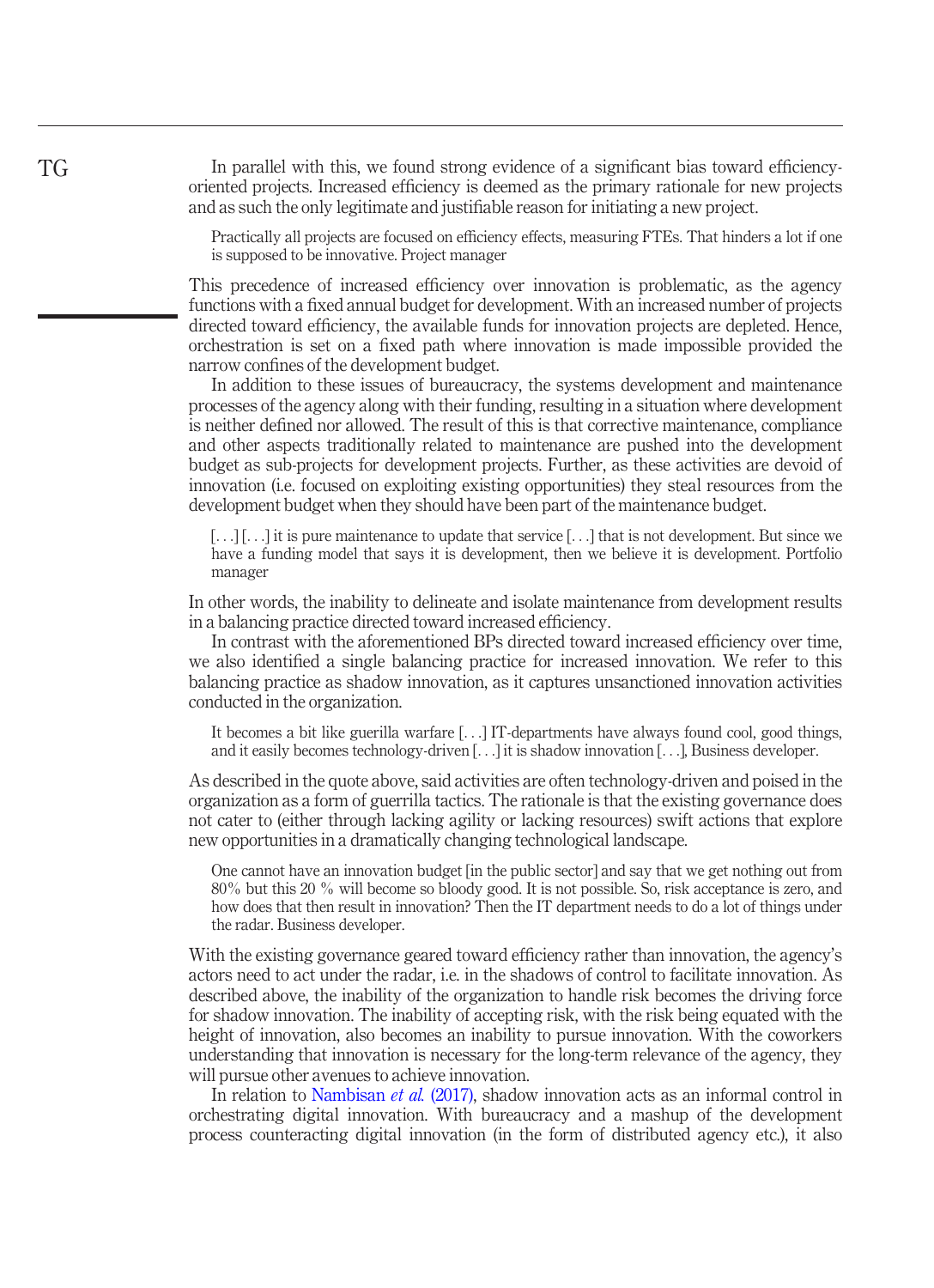In parallel with this, we found strong evidence of a significant bias toward efficiencyoriented projects. Increased efficiency is deemed as the primary rationale for new projects and as such the only legitimate and justifiable reason for initiating a new project.

Practically all projects are focused on efficiency effects, measuring FTEs. That hinders a lot if one is supposed to be innovative. Project manager

This precedence of increased efficiency over innovation is problematic, as the agency functions with a fixed annual budget for development. With an increased number of projects directed toward efficiency, the available funds for innovation projects are depleted. Hence, orchestration is set on a fixed path where innovation is made impossible provided the narrow confines of the development budget.

In addition to these issues of bureaucracy, the systems development and maintenance processes of the agency along with their funding, resulting in a situation where development is neither defined nor allowed. The result of this is that corrective maintenance, compliance and other aspects traditionally related to maintenance are pushed into the development budget as sub-projects for development projects. Further, as these activities are devoid of innovation (i.e. focused on exploiting existing opportunities) they steal resources from the development budget when they should have been part of the maintenance budget.

[...] [...] it is pure maintenance to update that service [...] that is not development. But since we have a funding model that says it is development, then we believe it is development. Portfolio manager

In other words, the inability to delineate and isolate maintenance from development results in a balancing practice directed toward increased efficiency.

In contrast with the aforementioned BPs directed toward increased efficiency over time, we also identified a single balancing practice for increased innovation. We refer to this balancing practice as shadow innovation, as it captures unsanctioned innovation activities conducted in the organization.

It becomes a bit like guerilla warfare [...] IT-departments have always found cool, good things, and it easily becomes technology-driven [...] it is shadow innovation [...], Business developer.

As described in the quote above, said activities are often technology-driven and poised in the organization as a form of guerrilla tactics. The rationale is that the existing governance does not cater to (either through lacking agility or lacking resources) swift actions that explore new opportunities in a dramatically changing technological landscape.

One cannot have an innovation budget [in the public sector] and say that we get nothing out from 80% but this 20 % will become so bloody good. It is not possible. So, risk acceptance is zero, and how does that then result in innovation? Then the IT department needs to do a lot of things under the radar. Business developer.

With the existing governance geared toward efficiency rather than innovation, the agency's actors need to act under the radar, i.e. in the shadows of control to facilitate innovation. As described above, the inability of the organization to handle risk becomes the driving force for shadow innovation. The inability of accepting risk, with the risk being equated with the height of innovation, also becomes an inability to pursue innovation. With the coworkers understanding that innovation is necessary for the long-term relevance of the agency, they will pursue other avenues to achieve innovation.

In relation to [Nambisan](#page-18-9) *et al.* (2017), shadow innovation acts as an informal control in orchestrating digital innovation. With bureaucracy and a mashup of the development process counteracting digital innovation (in the form of distributed agency etc.), it also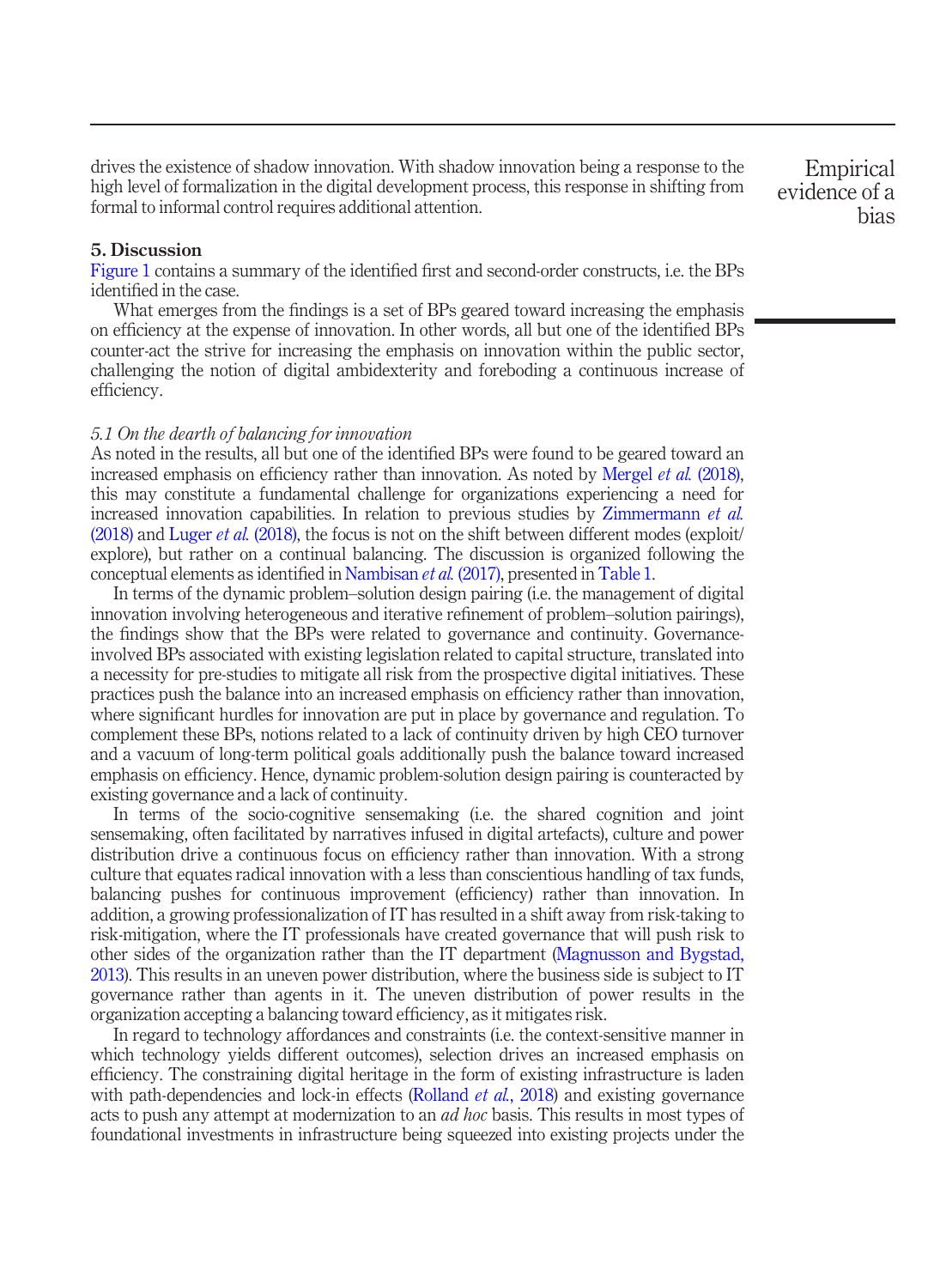drives the existence of shadow innovation. With shadow innovation being a response to the high level of formalization in the digital development process, this response in shifting from formal to informal control requires additional attention.

# 5. Discussion

[Figure 1](#page-6-1) contains a summary of the identified first and second-order constructs, i.e. the BPs identified in the case.

What emerges from the findings is a set of BPs geared toward increasing the emphasis on efficiency at the expense of innovation. In other words, all but one of the identified BPs counter-act the strive for increasing the emphasis on innovation within the public sector, challenging the notion of digital ambidexterity and foreboding a continuous increase of efficiency.

#### 5.1 On the dearth of balancing for innovation

As noted in the results, all but one of the identified BPs were found to be geared toward an increased emphasis on efficiency rather than innovation. As noted by [Mergel](#page-18-5) *et al.* (2018), this may constitute a fundamental challenge for organizations experiencing a need for increased innovation capabilities. In relation to previous studies by [Zimmermann](#page-19-6) et al.  $(2018)$  and [Luger](#page-18-4) et al.  $(2018)$ , the focus is not on the shift between different modes (exploit/ explore), but rather on a continual balancing. The discussion is organized following the conceptual elements as identified in [Nambisan](#page-18-9) et al. (2017), presented in [Table 1](#page-3-0).

In terms of the dynamic problem–solution design pairing (i.e. the management of digital innovation involving heterogeneous and iterative refinement of problem–solution pairings), the findings show that the BPs were related to governance and continuity. Governanceinvolved BPs associated with existing legislation related to capital structure, translated into a necessity for pre-studies to mitigate all risk from the prospective digital initiatives. These practices push the balance into an increased emphasis on efficiency rather than innovation, where significant hurdles for innovation are put in place by governance and regulation. To complement these BPs, notions related to a lack of continuity driven by high CEO turnover and a vacuum of long-term political goals additionally push the balance toward increased emphasis on efficiency. Hence, dynamic problem-solution design pairing is counteracted by existing governance and a lack of continuity.

In terms of the socio-cognitive sensemaking (i.e. the shared cognition and joint sensemaking, often facilitated by narratives infused in digital artefacts), culture and power distribution drive a continuous focus on efficiency rather than innovation. With a strong culture that equates radical innovation with a less than conscientious handling of tax funds, balancing pushes for continuous improvement (efficiency) rather than innovation. In addition, a growing professionalization of IT has resulted in a shift away from risk-taking to risk-mitigation, where the IT professionals have created governance that will push risk to other sides of the organization rather than the IT department [\(Magnusson and Bygstad,](#page-18-18) [2013\)](#page-18-18). This results in an uneven power distribution, where the business side is subject to IT governance rather than agents in it. The uneven distribution of power results in the organization accepting a balancing toward efficiency, as it mitigates risk.

In regard to technology affordances and constraints (i.e. the context-sensitive manner in which technology yields different outcomes), selection drives an increased emphasis on efficiency. The constraining digital heritage in the form of existing infrastructure is laden with path-dependencies and lock-in effects [\(Rolland](#page-19-16) *et al.*, 2018) and existing governance acts to push any attempt at modernization to an *ad hoc* basis. This results in most types of foundational investments in infrastructure being squeezed into existing projects under the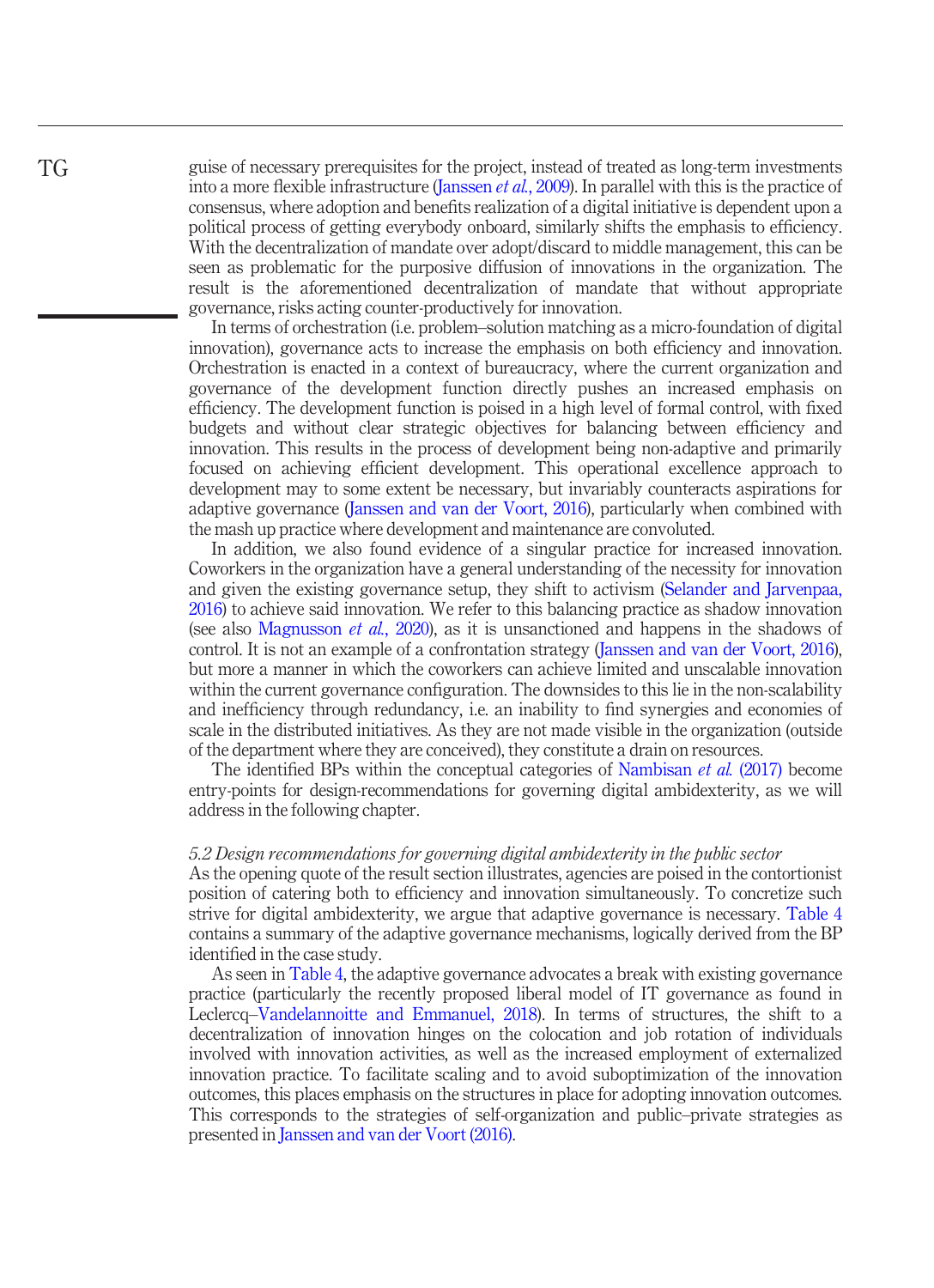guise of necessary prerequisites for the project, instead of treated as long-term investments into a more flexible infrastructure [\(Janssen](#page-17-18) *et al.*, 2009). In parallel with this is the practice of consensus, where adoption and benefits realization of a digital initiative is dependent upon a political process of getting everybody onboard, similarly shifts the emphasis to efficiency. With the decentralization of mandate over adopt/discard to middle management, this can be seen as problematic for the purposive diffusion of innovations in the organization. The result is the aforementioned decentralization of mandate that without appropriate governance, risks acting counter-productively for innovation.

In terms of orchestration (i.e. problem–solution matching as a micro-foundation of digital innovation), governance acts to increase the emphasis on both efficiency and innovation. Orchestration is enacted in a context of bureaucracy, where the current organization and governance of the development function directly pushes an increased emphasis on efficiency. The development function is poised in a high level of formal control, with fixed budgets and without clear strategic objectives for balancing between efficiency and innovation. This results in the process of development being non-adaptive and primarily focused on achieving efficient development. This operational excellence approach to development may to some extent be necessary, but invariably counteracts aspirations for adaptive governance [\(Janssen and van der Voort, 2016\)](#page-17-7), particularly when combined with the mash up practice where development and maintenance are convoluted.

In addition, we also found evidence of a singular practice for increased innovation. Coworkers in the organization have a general understanding of the necessity for innovation and given the existing governance setup, they shift to activism [\(Selander and Jarvenpaa,](#page-19-10) [2016](#page-19-10)) to achieve said innovation. We refer to this balancing practice as shadow innovation (see also [Magnusson](#page-18-11) et al., 2020), as it is unsanctioned and happens in the shadows of control. It is not an example of a confrontation strategy ([Janssen and van der Voort, 2016\)](#page-17-7), but more a manner in which the coworkers can achieve limited and unscalable innovation within the current governance configuration. The downsides to this lie in the non-scalability and inefficiency through redundancy, i.e. an inability to find synergies and economies of scale in the distributed initiatives. As they are not made visible in the organization (outside of the department where they are conceived), they constitute a drain on resources.

The identified BPs within the conceptual categories of [Nambisan](#page-18-9) et al. (2017) become entry-points for design-recommendations for governing digital ambidexterity, as we will address in the following chapter.

#### 5.2 Design recommendations for governing digital ambidexterity in the public sector

As the opening quote of the result section illustrates, agencies are poised in the contortionist position of catering both to efficiency and innovation simultaneously. To concretize such strive for digital ambidexterity, we argue that adaptive governance is necessary. [Table 4](#page-14-0) contains a summary of the adaptive governance mechanisms, logically derived from the BP identified in the case study.

As seen in [Table 4](#page-14-0), the adaptive governance advocates a break with existing governance practice (particularly the recently proposed liberal model of IT governance as found in Leclercq–[Vandelannoitte and Emmanuel, 2018\)](#page-18-19). In terms of structures, the shift to a decentralization of innovation hinges on the colocation and job rotation of individuals involved with innovation activities, as well as the increased employment of externalized innovation practice. To facilitate scaling and to avoid suboptimization of the innovation outcomes, this places emphasis on the structures in place for adopting innovation outcomes. This corresponds to the strategies of self-organization and public–private strategies as presented in [Janssen and van der Voort \(2016\).](#page-17-7)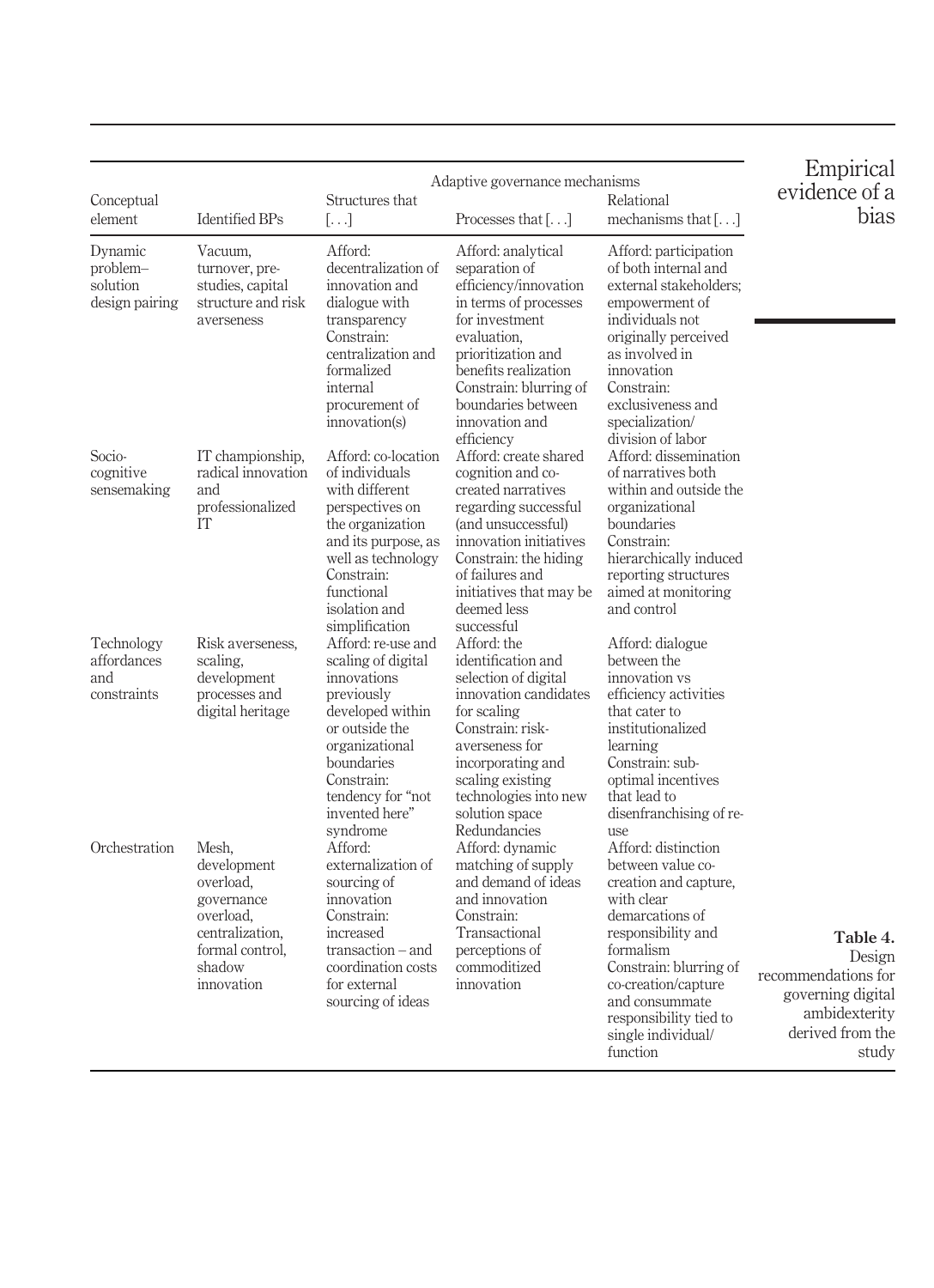<span id="page-14-0"></span>

| Conceptual<br>element                             | <b>Identified BPs</b>                                                                                                      | Structures that<br>$\left[\ldots\right]$                                                                                                                                                                     | Adaptive governance mechanisms<br>Processes that $[\ldots]$                                                                                                                                                                                          | Relational<br>mechanisms that $[\ldots]$                                                                                                                                                                                                                             | Empirical<br>evidence of a<br>bias                                                                           |
|---------------------------------------------------|----------------------------------------------------------------------------------------------------------------------------|--------------------------------------------------------------------------------------------------------------------------------------------------------------------------------------------------------------|------------------------------------------------------------------------------------------------------------------------------------------------------------------------------------------------------------------------------------------------------|----------------------------------------------------------------------------------------------------------------------------------------------------------------------------------------------------------------------------------------------------------------------|--------------------------------------------------------------------------------------------------------------|
| Dynamic<br>problem-<br>solution<br>design pairing | Vacuum,<br>turnover, pre-<br>studies, capital<br>structure and risk<br>averseness                                          | Afford:<br>decentralization of<br>innovation and<br>dialogue with<br>transparency<br>Constrain:<br>centralization and<br>formalized<br>internal<br>procurement of<br>innovation(s)                           | Afford: analytical<br>separation of<br>efficiency/innovation<br>in terms of processes<br>for investment<br>evaluation.<br>prioritization and<br>benefits realization<br>Constrain: blurring of<br>boundaries between<br>innovation and<br>efficiency | Afford: participation<br>of both internal and<br>external stakeholders;<br>empowerment of<br>individuals not<br>originally perceived<br>as involved in<br>innovation<br>Constrain:<br>exclusiveness and<br>specialization/<br>division of labor                      |                                                                                                              |
| Socio-<br>cognitive<br>sensemaking                | IT championship,<br>radical innovation<br>and<br>professionalized<br>IT                                                    | Afford: co-location<br>of individuals<br>with different<br>perspectives on<br>the organization<br>and its purpose, as<br>well as technology<br>Constrain:<br>functional<br>isolation and<br>simplification   | Afford: create shared<br>cognition and co-<br>created narratives<br>regarding successful<br>(and unsuccessful)<br>innovation initiatives<br>Constrain: the hiding<br>of failures and<br>initiatives that may be<br>deemed less<br>successful         | Afford: dissemination<br>of narratives both<br>within and outside the<br>organizational<br>boundaries<br>Constrain:<br>hierarchically induced<br>reporting structures<br>aimed at monitoring<br>and control                                                          |                                                                                                              |
| Technology<br>affordances<br>and<br>constraints   | Risk averseness,<br>scaling,<br>development<br>processes and<br>digital heritage                                           | Afford: re-use and<br>scaling of digital<br>innovations<br>previously<br>developed within<br>or outside the<br>organizational<br>boundaries<br>Constrain:<br>tendency for "not<br>invented here"<br>syndrome | Afford: the<br>identification and<br>selection of digital<br>innovation candidates<br>for scaling<br>Constrain: risk-<br>averseness for<br>incorporating and<br>scaling existing<br>technologies into new<br>solution space<br>Redundancies          | Afford: dialogue<br>between the<br>innovation vs<br>efficiency activities<br>that cater to<br>institutionalized<br>learning<br>Constrain: sub-<br>optimal incentives<br>that lead to<br>disenfranchising of re-<br>use                                               |                                                                                                              |
| Orchestration                                     | Mesh,<br>development<br>overload,<br>governance<br>overload,<br>centralization,<br>formal control,<br>shadow<br>innovation | Afford:<br>externalization of<br>sourcing of<br>innovation<br>Constrain:<br>increased<br>transaction – and<br>coordination costs<br>for external<br>sourcing of ideas                                        | Afford: dynamic<br>matching of supply<br>and demand of ideas<br>and innovation<br>Constrain:<br>Transactional<br>perceptions of<br>commoditized<br>innovation                                                                                        | Afford: distinction<br>between value co-<br>creation and capture,<br>with clear<br>demarcations of<br>responsibility and<br>formalism<br>Constrain: blurring of<br>co-creation/capture<br>and consummate<br>responsibility tied to<br>single individual/<br>function | Table 4.<br>Design<br>recommendations for<br>governing digital<br>ambidexterity<br>derived from the<br>study |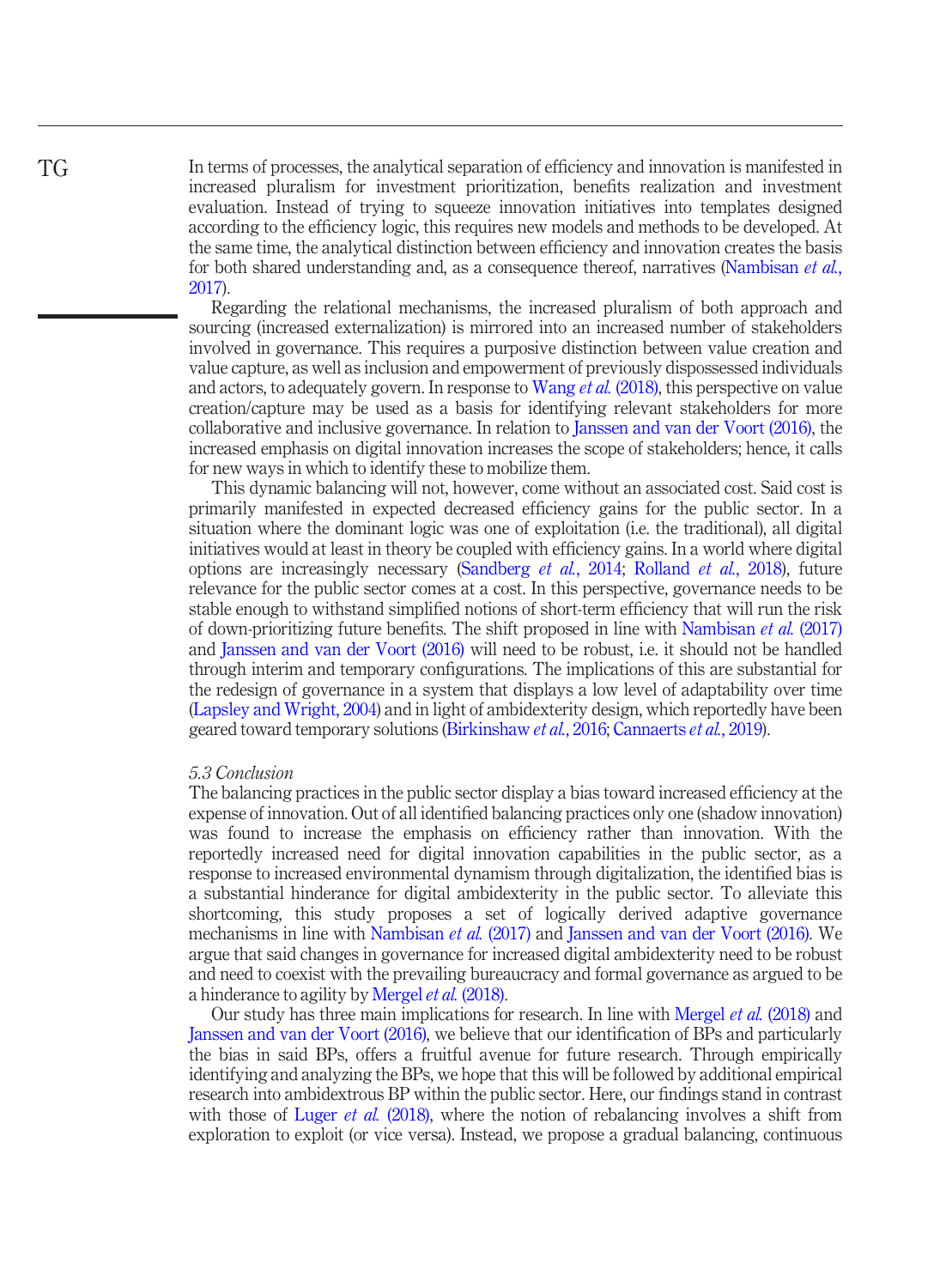In terms of processes, the analytical separation of efficiency and innovation is manifested in increased pluralism for investment prioritization, benefits realization and investment evaluation. Instead of trying to squeeze innovation initiatives into templates designed according to the efficiency logic, this requires new models and methods to be developed. At the same time, the analytical distinction between efficiency and innovation creates the basis for both shared understanding and, as a consequence thereof, narratives [\(Nambisan](#page-18-9) *et al.*, [2017](#page-18-9)).

Regarding the relational mechanisms, the increased pluralism of both approach and sourcing (increased externalization) is mirrored into an increased number of stakeholders involved in governance. This requires a purposive distinction between value creation and value capture, as well as inclusion and empowerment of previously dispossessed individuals and actors, to adequately govern. In response to [Wang](#page-19-3) *et al.* (2018), this perspective on value creation/capture may be used as a basis for identifying relevant stakeholders for more collaborative and inclusive governance. In relation to [Janssen and van der Voort \(2016\),](#page-17-7) the increased emphasis on digital innovation increases the scope of stakeholders; hence, it calls for new ways in which to identify these to mobilize them.

This dynamic balancing will not, however, come without an associated cost. Said cost is primarily manifested in expected decreased efficiency gains for the public sector. In a situation where the dominant logic was one of exploitation (i.e. the traditional), all digital initiatives would at least in theory be coupled with efficiency gains. In a world where digital options are increasingly necessary ([Sandberg](#page-19-17) et al., 2014; [Rolland](#page-19-16) et al., 2018), future relevance for the public sector comes at a cost. In this perspective, governance needs to be stable enough to withstand simplified notions of short-term efficiency that will run the risk of down-prioritizing future benefits. The shift proposed in line with [Nambisan](#page-18-9) et al. (2017) and [Janssen and van der Voort \(2016\)](#page-17-7) will need to be robust, i.e. it should not be handled through interim and temporary configurations. The implications of this are substantial for the redesign of governance in a system that displays a low level of adaptability over time [\(Lapsley and Wright, 2004\)](#page-18-20) and in light of ambidexterity design, which reportedly have been geared toward temporary solutions [\(Birkinshaw](#page-17-10) et al., 2016; [Cannaerts](#page-17-9) et al., 2019).

### 5.3 Conclusion

The balancing practices in the public sector display a bias toward increased efficiency at the expense of innovation. Out of all identified balancing practices only one (shadow innovation) was found to increase the emphasis on efficiency rather than innovation. With the reportedly increased need for digital innovation capabilities in the public sector, as a response to increased environmental dynamism through digitalization, the identified bias is a substantial hinderance for digital ambidexterity in the public sector. To alleviate this shortcoming, this study proposes a set of logically derived adaptive governance mechanisms in line with [Nambisan](#page-18-9) et al. (2017) and [Janssen and van der Voort \(2016\)](#page-17-7). We argue that said changes in governance for increased digital ambidexterity need to be robust and need to coexist with the prevailing bureaucracy and formal governance as argued to be a hinderance to agility by [Mergel](#page-18-5) et al. (2018).

Our study has three main implications for research. In line with [Mergel](#page-18-5) et al. (2018) and [Janssen and van der Voort \(2016\)](#page-17-7), we believe that our identification of BPs and particularly the bias in said BPs, offers a fruitful avenue for future research. Through empirically identifying and analyzing the BPs, we hope that this will be followed by additional empirical research into ambidextrous BP within the public sector. Here, our findings stand in contrast with those of Luger *et al.* [\(2018\)](#page-18-4), where the notion of rebalancing involves a shift from exploration to exploit (or vice versa). Instead, we propose a gradual balancing, continuous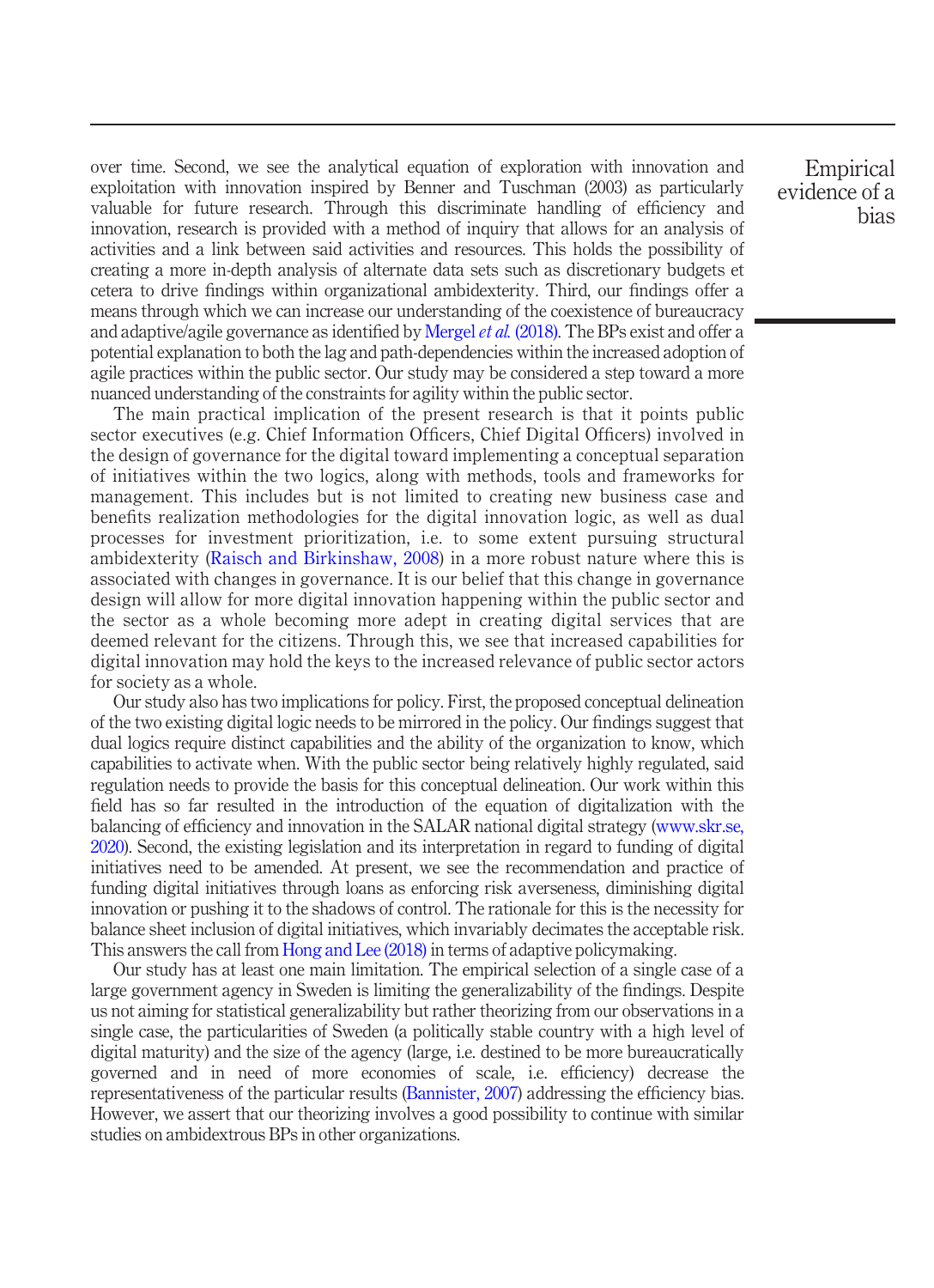over time. Second, we see the analytical equation of exploration with innovation and exploitation with innovation inspired by Benner and Tuschman (2003) as particularly valuable for future research. Through this discriminate handling of efficiency and innovation, research is provided with a method of inquiry that allows for an analysis of activities and a link between said activities and resources. This holds the possibility of creating a more in-depth analysis of alternate data sets such as discretionary budgets et cetera to drive findings within organizational ambidexterity. Third, our findings offer a means through which we can increase our understanding of the coexistence of bureaucracy and adaptive/agile governance as identified by [Mergel](#page-18-5) *et al.* (2018). The BPs exist and offer a potential explanation to both the lag and path-dependencies within the increased adoption of agile practices within the public sector. Our study may be considered a step toward a more nuanced understanding of the constraints for agility within the public sector.

The main practical implication of the present research is that it points public sector executives (e.g. Chief Information Officers, Chief Digital Officers) involved in the design of governance for the digital toward implementing a conceptual separation of initiatives within the two logics, along with methods, tools and frameworks for management. This includes but is not limited to creating new business case and benefits realization methodologies for the digital innovation logic, as well as dual processes for investment prioritization, i.e. to some extent pursuing structural ambidexterity [\(Raisch and Birkinshaw, 2008](#page-18-0)) in a more robust nature where this is associated with changes in governance. It is our belief that this change in governance design will allow for more digital innovation happening within the public sector and the sector as a whole becoming more adept in creating digital services that are deemed relevant for the citizens. Through this, we see that increased capabilities for digital innovation may hold the keys to the increased relevance of public sector actors for society as a whole.

Our study also has two implications for policy. First, the proposed conceptual delineation of the two existing digital logic needs to be mirrored in the policy. Our findings suggest that dual logics require distinct capabilities and the ability of the organization to know, which capabilities to activate when. With the public sector being relatively highly regulated, said regulation needs to provide the basis for this conceptual delineation. Our work within this field has so far resulted in the introduction of the equation of digitalization with the balancing of efficiency and innovation in the SALAR national digital strategy ([www.skr.se,](#page-19-18) [2020\)](#page-19-18). Second, the existing legislation and its interpretation in regard to funding of digital initiatives need to be amended. At present, we see the recommendation and practice of funding digital initiatives through loans as enforcing risk averseness, diminishing digital innovation or pushing it to the shadows of control. The rationale for this is the necessity for balance sheet inclusion of digital initiatives, which invariably decimates the acceptable risk. This answers the call from [Hong and Lee \(2018\)](#page-17-6) in terms of adaptive policymaking.

Our study has at least one main limitation. The empirical selection of a single case of a large government agency in Sweden is limiting the generalizability of the findings. Despite us not aiming for statistical generalizability but rather theorizing from our observations in a single case, the particularities of Sweden (a politically stable country with a high level of digital maturity) and the size of the agency (large, i.e. destined to be more bureaucratically governed and in need of more economies of scale, i.e. efficiency) decrease the representativeness of the particular results ([Bannister, 2007\)](#page-17-19) addressing the efficiency bias. However, we assert that our theorizing involves a good possibility to continue with similar studies on ambidextrous BPs in other organizations.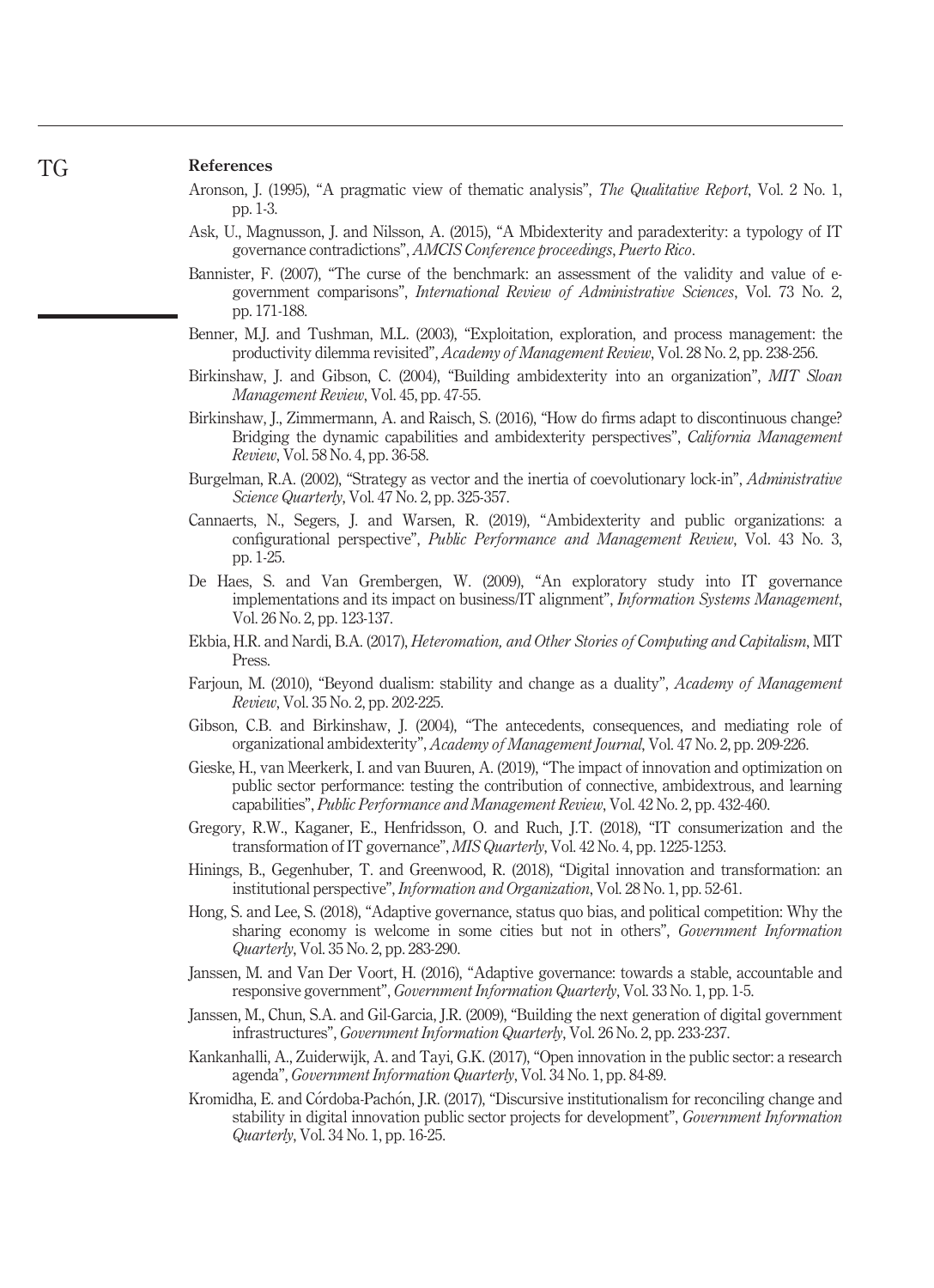#### References

TG

- <span id="page-17-16"></span>Aronson, J. (1995), "A pragmatic view of thematic analysis", The Qualitative Report, Vol. 2 No. 1, pp. 1-3.
- <span id="page-17-13"></span>Ask, U., Magnusson, J. and Nilsson, A. (2015), "A Mbidexterity and paradexterity: a typology of IT governance contradictions", AMCIS Conference proceedings, Puerto Rico.
- <span id="page-17-19"></span>Bannister, F. (2007), "The curse of the benchmark: an assessment of the validity and value of egovernment comparisons", International Review of Administrative Sciences, Vol. 73 No. 2, pp. 171-188.
- <span id="page-17-3"></span>Benner, M.J. and Tushman, M.L. (2003), "Exploitation, exploration, and process management: the productivity dilemma revisited", Academy of Management Review, Vol. 28 No. 2, pp. 238-256.
- <span id="page-17-4"></span>Birkinshaw, J. and Gibson, C. (2004), "Building ambidexterity into an organization", MIT Sloan Management Review, Vol. 45, pp. 47-55.
- <span id="page-17-10"></span>Birkinshaw, J., Zimmermann, A. and Raisch, S. (2016), "How do firms adapt to discontinuous change? Bridging the dynamic capabilities and ambidexterity perspectives", California Management Review, Vol. 58 No. 4, pp. 36-58.
- <span id="page-17-14"></span>Burgelman, R.A. (2002), "Strategy as vector and the inertia of coevolutionary lock-in", Administrative Science Quarterly, Vol. 47 No. 2, pp. 325-357.
- <span id="page-17-9"></span>Cannaerts, N., Segers, J. and Warsen, R. (2019), "Ambidexterity and public organizations: a configurational perspective", Public Performance and Management Review, Vol. 43 No. 3, pp. 1-25.
- <span id="page-17-17"></span>De Haes, S. and Van Grembergen, W. (2009), "An exploratory study into IT governance implementations and its impact on business/IT alignment", *Information Systems Management*, Vol. 26 No. 2, pp. 123-137.
- <span id="page-17-0"></span>Ekbia, H.R. and Nardi, B.A. (2017), Heteromation, and Other Stories of Computing and Capitalism, MIT Press.
- <span id="page-17-12"></span>Farjoun, M. (2010), "Beyond dualism: stability and change as a duality", Academy of Management Review, Vol. 35 No. 2, pp. 202-225.
- <span id="page-17-5"></span>Gibson, C.B. and Birkinshaw, J. (2004), "The antecedents, consequences, and mediating role of organizational ambidexterity", Academy of Management Journal, Vol. 47 No. 2, pp. 209-226.
- <span id="page-17-11"></span>Gieske, H., van Meerkerk, I. and van Buuren, A. (2019), "The impact of innovation and optimization on public sector performance: testing the contribution of connective, ambidextrous, and learning capabilities", Public Performance and Management Review, Vol. 42 No. 2, pp. 432-460.
- <span id="page-17-15"></span>Gregory, R.W., Kaganer, E., Henfridsson, O. and Ruch, J.T. (2018), "IT consumerization and the transformation of IT governance", MIS Quarterly, Vol. 42 No. 4, pp. 1225-1253.
- <span id="page-17-1"></span>Hinings, B., Gegenhuber, T. and Greenwood, R. (2018), "Digital innovation and transformation: an institutional perspective", Information and Organization, Vol. 28 No. 1, pp. 52-61.
- <span id="page-17-6"></span>Hong, S. and Lee, S. (2018), "Adaptive governance, status quo bias, and political competition: Why the sharing economy is welcome in some cities but not in others", *Government Information* Quarterly, Vol. 35 No. 2, pp. 283-290.
- <span id="page-17-7"></span>Janssen, M. and Van Der Voort, H. (2016), "Adaptive governance: towards a stable, accountable and responsive government", Government Information Quarterly, Vol. 33 No. 1, pp. 1-5.
- <span id="page-17-18"></span>Janssen, M., Chun, S.A. and Gil-Garcia, J.R. (2009), "Building the next generation of digital government infrastructures", Government Information Quarterly, Vol. 26 No. 2, pp. 233-237.
- <span id="page-17-8"></span>Kankanhalli, A., Zuiderwijk, A. and Tayi, G.K. (2017), "Open innovation in the public sector: a research agenda", Government Information Quarterly, Vol. 34 No. 1, pp. 84-89.
- <span id="page-17-2"></span>Kromidha, E. and Córdoba-Pachón, J.R. (2017), "Discursive institutionalism for reconciling change and stability in digital innovation public sector projects for development", *Government Information* Quarterly, Vol. 34 No. 1, pp. 16-25.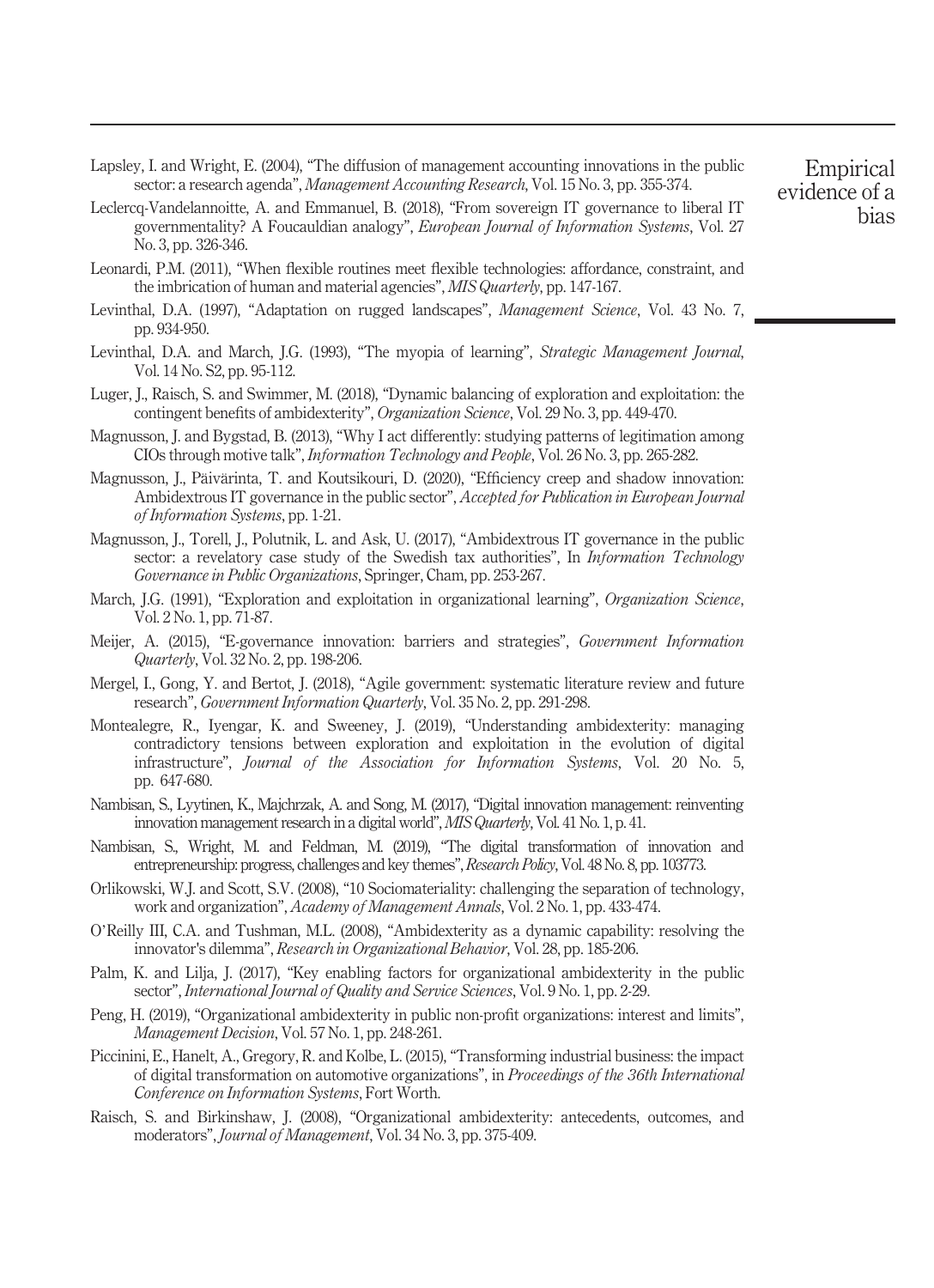<span id="page-18-20"></span>Lapsley, I. and Wright, E. (2004), "The diffusion of management accounting innovations in the public sector: a research agenda", *Management Accounting Research*, Vol. 15 No. 3, pp. 355-374.

- <span id="page-18-19"></span>Leclercq-Vandelannoitte, A. and Emmanuel, B. (2018), "From sovereign IT governance to liberal IT governmentality? A Foucauldian analogy", European Journal of Information Systems, Vol. 27 No. 3, pp. 326-346.
- <span id="page-18-17"></span>Leonardi, P.M. (2011), "When flexible routines meet flexible technologies: affordance, constraint, and the imbrication of human and material agencies", MIS Quarterly, pp. 147-167.
- <span id="page-18-3"></span>Levinthal, D.A. (1997), "Adaptation on rugged landscapes", *Management Science*, Vol. 43 No. 7, pp. 934-950.
- <span id="page-18-13"></span>Levinthal, D.A. and March, I.G. (1993), "The myopia of learning", *Strategic Management Journal*, Vol. 14 No. S2, pp. 95-112.
- <span id="page-18-4"></span>Luger, J., Raisch, S. and Swimmer, M. (2018), "Dynamic balancing of exploration and exploitation: the contingent benefits of ambidexterity", Organization Science, Vol. 29 No. 3, pp. 449-470.
- <span id="page-18-18"></span>Magnusson, J. and Bygstad, B. (2013), "Why I act differently: studying patterns of legitimation among CIOs through motive talk", Information Technology and People, Vol. 26 No. 3, pp. 265-282.
- <span id="page-18-11"></span>Magnusson, J., Päivärinta, T. and Koutsikouri, D. (2020), "Efficiency creep and shadow innovation: Ambidextrous IT governance in the public sector", Accepted for Publication in European Journal of Information Systems, pp. 1-21.
- <span id="page-18-14"></span>Magnusson, J., Torell, J., Polutnik, L. and Ask, U. (2017), "Ambidextrous IT governance in the public sector: a revelatory case study of the Swedish tax authorities", In *Information Technology* Governance in Public Organizations, Springer, Cham, pp. 253-267.
- <span id="page-18-1"></span>March, J.G. (1991), "Exploration and exploitation in organizational learning", Organization Science, Vol. 2 No. 1, pp. 71-87.
- <span id="page-18-6"></span>Meijer, A. (2015), "E-governance innovation: barriers and strategies", Government Information Quarterly, Vol. 32 No. 2, pp. 198-206.
- <span id="page-18-5"></span>Mergel, I., Gong, Y. and Bertot, J. (2018), "Agile government: systematic literature review and future research", Government Information Quarterly, Vol. 35 No. 2, pp. 291-298.
- <span id="page-18-15"></span>Montealegre, R., Iyengar, K. and Sweeney, J. (2019), "Understanding ambidexterity: managing contradictory tensions between exploration and exploitation in the evolution of digital infrastructure", Journal of the Association for Information Systems, Vol. 20 No. 5, pp. 647-680.
- <span id="page-18-9"></span>Nambisan, S., Lyytinen, K., Majchrzak, A. and Song, M. (2017), "Digital innovation management: reinventing innovation management research in a digital world", MIS Quarterly, Vol. 41 No. 1, p. 41.
- <span id="page-18-10"></span>Nambisan, S., Wright, M. and Feldman, M. (2019), "The digital transformation of innovation and entrepreneurship: progress, challenges and key themes", Research Policy, Vol. 48 No. 8, pp. 103773.
- <span id="page-18-8"></span>Orlikowski, W.J. and Scott, S.V. (2008), "10 Sociomateriality: challenging the separation of technology, work and organization", Academy of Management Annals, Vol. 2 No. 1, pp. 433-474.
- <span id="page-18-2"></span>O'Reilly III, C.A. and Tushman, M.L. (2008), "Ambidexterity as a dynamic capability: resolving the innovator's dilemma", Research in Organizational Behavior, Vol. 28, pp. 185-206.
- <span id="page-18-16"></span>Palm, K. and Lilja, J. (2017), "Key enabling factors for organizational ambidexterity in the public sector", International Journal of Quality and Service Sciences, Vol. 9 No. 1, pp. 2-29.
- <span id="page-18-12"></span>Peng, H. (2019), "Organizational ambidexterity in public non-profit organizations: interest and limits", Management Decision, Vol. 57 No. 1, pp. 248-261.
- <span id="page-18-7"></span>Piccinini, E., Hanelt, A., Gregory, R. and Kolbe, L. (2015), "Transforming industrial business: the impact of digital transformation on automotive organizations", in Proceedings of the 36th International Conference on Information Systems, Fort Worth.
- <span id="page-18-0"></span>Raisch, S. and Birkinshaw, J. (2008), "Organizational ambidexterity: antecedents, outcomes, and moderators", Journal of Management, Vol. 34 No. 3, pp. 375-409.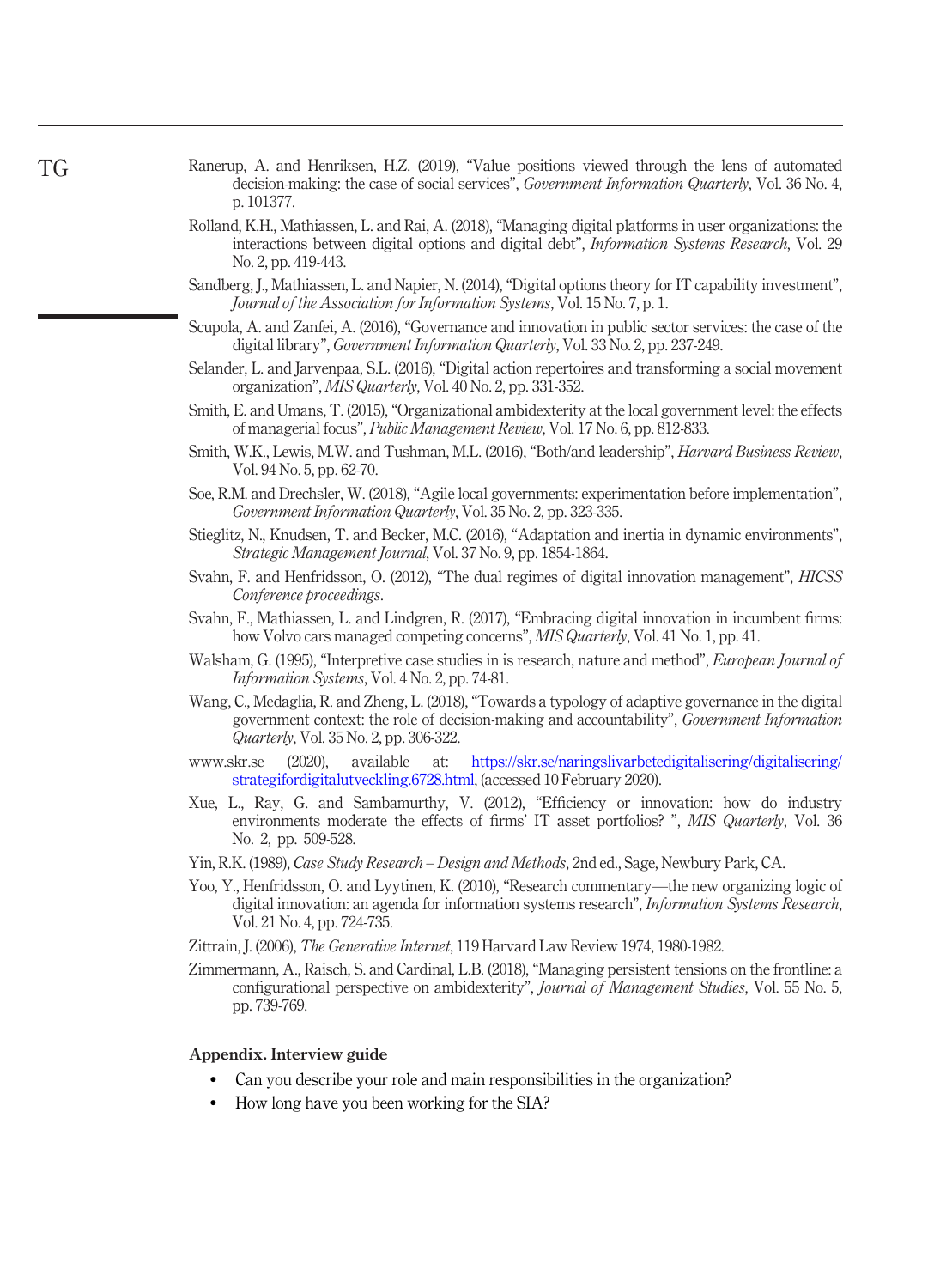- <span id="page-19-0"></span>Ranerup, A. and Henriksen, H.Z. (2019), "Value positions viewed through the lens of automated decision-making: the case of social services", *Government Information Quarterly*, Vol. 36 No. 4, p. 101377.
- <span id="page-19-16"></span>Rolland, K.H., Mathiassen, L. and Rai, A. (2018), "Managing digital platforms in user organizations: the interactions between digital options and digital debt", Information Systems Research, Vol. 29 No. 2, pp. 419-443.
- <span id="page-19-17"></span>Sandberg, J., Mathiassen, L. and Napier, N. (2014), "Digital options theory for IT capability investment", Journal of the Association for Information Systems, Vol. 15 No. 7, p. 1.
- <span id="page-19-5"></span>Scupola, A. and Zanfei, A. (2016), "Governance and innovation in public sector services: the case of the digital library", Government Information Quarterly, Vol. 33 No. 2, pp. 237-249.
- <span id="page-19-10"></span>Selander, L. and Jarvenpaa, S.L. (2016), "Digital action repertoires and transforming a social movement organization", MIS Quarterly, Vol. 40 No. 2, pp. 331-352.
- <span id="page-19-12"></span>Smith, E. and Umans, T. (2015), "Organizational ambidexterity at the local government level: the effects of managerial focus", Public Management Review, Vol. 17 No. 6, pp. 812-833.
- <span id="page-19-13"></span>Smith, W.K., Lewis, M.W. and Tushman, M.L. (2016), "Both/and leadership", Harvard Business Review, Vol. 94 No. 5, pp. 62-70.
- <span id="page-19-4"></span>Soe, R.M. and Drechsler, W. (2018), "Agile local governments: experimentation before implementation", Government Information Quarterly, Vol. 35 No. 2, pp. 323-335.
- <span id="page-19-2"></span>Stieglitz, N., Knudsen, T. and Becker, M.C. (2016), "Adaptation and inertia in dynamic environments", Strategic Management Journal, Vol. 37 No. 9, pp. 1854-1864.
- <span id="page-19-11"></span>Svahn, F. and Henfridsson, O. (2012), "The dual regimes of digital innovation management", HICSS Conference proceedings.
- <span id="page-19-9"></span>Svahn, F., Mathiassen, L. and Lindgren, R. (2017), "Embracing digital innovation in incumbent firms: how Volvo cars managed competing concerns", MIS Quarterly, Vol. 41 No. 1, pp. 41.
- <span id="page-19-15"></span>Walsham, G. (1995), "Interpretive case studies in is research, nature and method". European Iournal of Information Systems, Vol. 4 No. 2, pp. 74-81.
- <span id="page-19-3"></span>Wang, C., Medaglia, R. and Zheng, L. (2018), "Towards a typology of adaptive governance in the digital government context: the role of decision-making and accountability", Government Information Quarterly, Vol. 35 No. 2, pp. 306-322.
- <span id="page-19-18"></span>www.skr.se (2020), available at: [https://skr.se/naringslivarbetedigitalisering/digitalisering/](https://skr.se/naringslivarbetedigitalisering/digitalisering/ strategifordigitalutveckling.6728.html) [strategifordigitalutveckling.6728.html,](https://skr.se/naringslivarbetedigitalisering/digitalisering/ strategifordigitalutveckling.6728.html) (accessed 10 February 2020).
- <span id="page-19-1"></span>Xue, L., Ray, G. and Sambamurthy, V. (2012), "Efficiency or innovation: how do industry environments moderate the effects of firms' IT asset portfolios? ", MIS Quarterly, Vol. 36 No. 2, pp. 509-528.
- <span id="page-19-7"></span>Yin, R.K. (1989), Case Study Research – Design and Methods, 2nd ed., Sage, Newbury Park, CA.
- <span id="page-19-8"></span>Yoo, Y., Henfridsson, O. and Lyytinen, K. (2010), "Research commentary—the new organizing logic of digital innovation: an agenda for information systems research", *Information Systems Research*, Vol. 21 No. 4, pp. 724-735.
- Zittrain, J. (2006), The Generative Internet, 119 Harvard Law Review 1974, 1980-1982.
- <span id="page-19-6"></span>Zimmermann, A., Raisch, S. and Cardinal, L.B. (2018), "Managing persistent tensions on the frontline: a configurational perspective on ambidexterity", *Journal of Management Studies*, Vol. 55 No. 5, pp. 739-769.

### <span id="page-19-14"></span>Appendix. Interview guide

- Can you describe your role and main responsibilities in the organization?
- How long have you been working for the SIA?